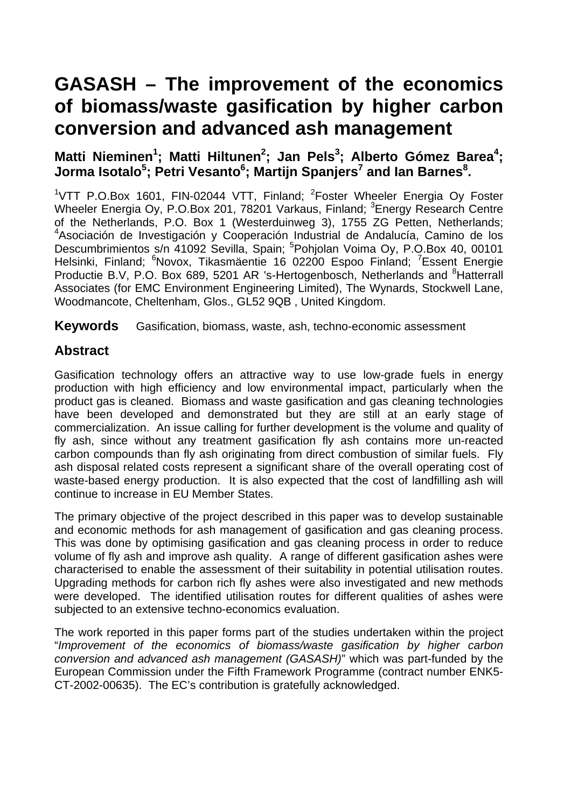# **GASASH – The improvement of the economics of biomass/waste gasification by higher carbon conversion and advanced ash management**

# Matti Nieminen<sup>1</sup>; Matti Hiltunen<sup>2</sup>; Jan Pels<sup>3</sup>; Alberto Gómez Barea<sup>4</sup>;  $\bm{J}$ orma Isotalo $^5$ ; Petri Vesanto $^6$ ; Martijn Spanjers $^7$  and Ian Barnes $^8$ .

<sup>1</sup>VTT P.O.Box 1601, FIN-02044 VTT, Finland; <sup>2</sup>Foster Wheeler Energia Oy Foster Wheeler Energia Oy, P.O.Box 201, 78201 Varkaus, Finland; <sup>3</sup>Energy Research Centre of the Netherlands, P.O. Box 1 (Westerduinweg 3), 1755 ZG Petten, Netherlands; 4 Asociación de Investigación y Cooperación Industrial de Andalucía, Camino de los Descumbrimientos s/n 41092 Sevilla, Spain; <sup>5</sup>Pohjolan Voima Oy, P.O.Box 40, 00101 Helsinki, Finland; <sup>6</sup>Novox, Tikasmäentie 16 02200 Espoo Finland; <sup>7</sup>Essent Energie Productie B.V, P.O. Box 689, 5201 AR 's-Hertogenbosch, Netherlands and <sup>8</sup>Hatterrall Associates (for EMC Environment Engineering Limited), The Wynards, Stockwell Lane, Woodmancote, Cheltenham, Glos., GL52 9QB , United Kingdom.

**Keywords** Gasification, biomass, waste, ash, techno-economic assessment

# **Abstract**

Gasification technology offers an attractive way to use low-grade fuels in energy production with high efficiency and low environmental impact, particularly when the product gas is cleaned. Biomass and waste gasification and gas cleaning technologies have been developed and demonstrated but they are still at an early stage of commercialization. An issue calling for further development is the volume and quality of fly ash, since without any treatment gasification fly ash contains more un-reacted carbon compounds than fly ash originating from direct combustion of similar fuels. Fly ash disposal related costs represent a significant share of the overall operating cost of waste-based energy production. It is also expected that the cost of landfilling ash will continue to increase in EU Member States.

The primary objective of the project described in this paper was to develop sustainable and economic methods for ash management of gasification and gas cleaning process. This was done by optimising gasification and gas cleaning process in order to reduce volume of fly ash and improve ash quality. A range of different gasification ashes were characterised to enable the assessment of their suitability in potential utilisation routes. Upgrading methods for carbon rich fly ashes were also investigated and new methods were developed. The identified utilisation routes for different qualities of ashes were subjected to an extensive techno-economics evaluation.

The work reported in this paper forms part of the studies undertaken within the project "*Improvement of the economics of biomass/waste gasification by higher carbon conversion and advanced ash management (GASASH)*" which was part-funded by the European Commission under the Fifth Framework Programme (contract number ENK5- CT-2002-00635). The EC's contribution is gratefully acknowledged.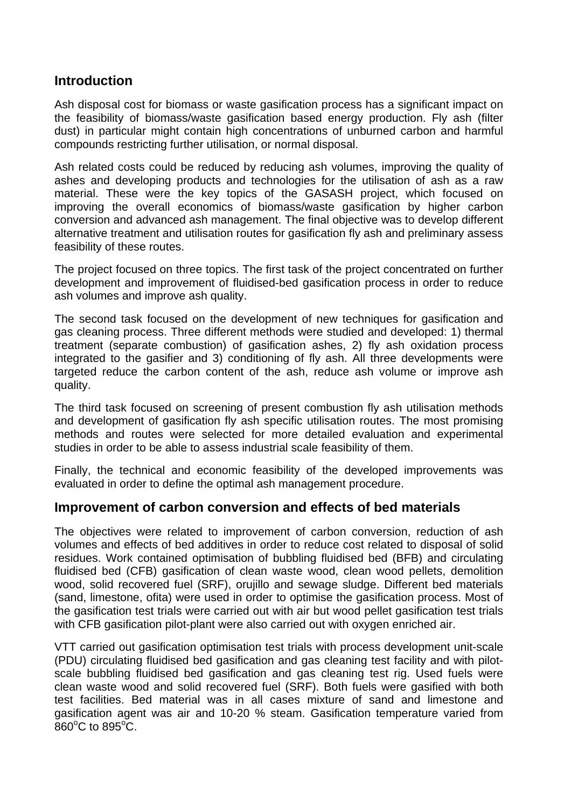## **Introduction**

Ash disposal cost for biomass or waste gasification process has a significant impact on the feasibility of biomass/waste gasification based energy production. Fly ash (filter dust) in particular might contain high concentrations of unburned carbon and harmful compounds restricting further utilisation, or normal disposal.

Ash related costs could be reduced by reducing ash volumes, improving the quality of ashes and developing products and technologies for the utilisation of ash as a raw material. These were the key topics of the GASASH project, which focused on improving the overall economics of biomass/waste gasification by higher carbon conversion and advanced ash management. The final objective was to develop different alternative treatment and utilisation routes for gasification fly ash and preliminary assess feasibility of these routes.

The project focused on three topics. The first task of the project concentrated on further development and improvement of fluidised-bed gasification process in order to reduce ash volumes and improve ash quality.

The second task focused on the development of new techniques for gasification and gas cleaning process. Three different methods were studied and developed: 1) thermal treatment (separate combustion) of gasification ashes, 2) fly ash oxidation process integrated to the gasifier and 3) conditioning of fly ash. All three developments were targeted reduce the carbon content of the ash, reduce ash volume or improve ash quality.

The third task focused on screening of present combustion fly ash utilisation methods and development of gasification fly ash specific utilisation routes. The most promising methods and routes were selected for more detailed evaluation and experimental studies in order to be able to assess industrial scale feasibility of them.

Finally, the technical and economic feasibility of the developed improvements was evaluated in order to define the optimal ash management procedure.

## **Improvement of carbon conversion and effects of bed materials**

The objectives were related to improvement of carbon conversion, reduction of ash volumes and effects of bed additives in order to reduce cost related to disposal of solid residues. Work contained optimisation of bubbling fluidised bed (BFB) and circulating fluidised bed (CFB) gasification of clean waste wood, clean wood pellets, demolition wood, solid recovered fuel (SRF), orujillo and sewage sludge. Different bed materials (sand, limestone, ofita) were used in order to optimise the gasification process. Most of the gasification test trials were carried out with air but wood pellet gasification test trials with CFB gasification pilot-plant were also carried out with oxygen enriched air.

VTT carried out gasification optimisation test trials with process development unit-scale (PDU) circulating fluidised bed gasification and gas cleaning test facility and with pilotscale bubbling fluidised bed gasification and gas cleaning test rig. Used fuels were clean waste wood and solid recovered fuel (SRF). Both fuels were gasified with both test facilities. Bed material was in all cases mixture of sand and limestone and gasification agent was air and 10-20 % steam. Gasification temperature varied from  $860^{\circ}$ C to  $895^{\circ}$ C.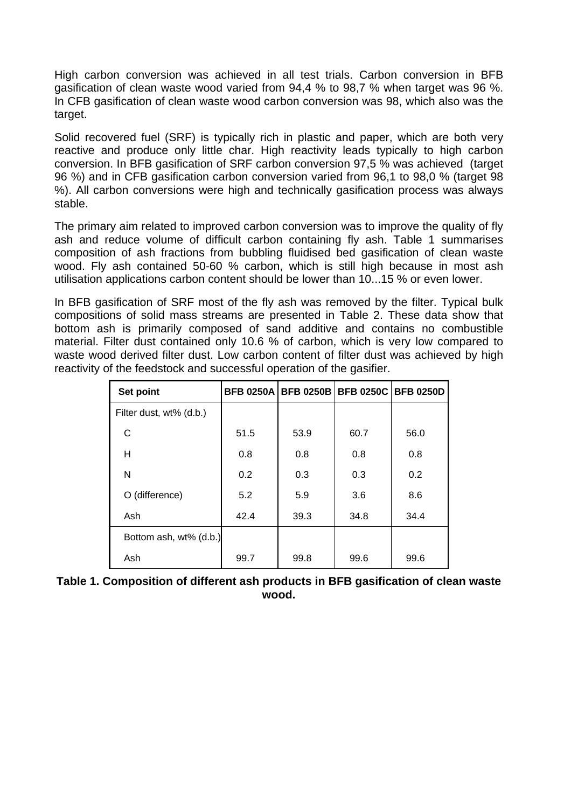High carbon conversion was achieved in all test trials. Carbon conversion in BFB gasification of clean waste wood varied from 94,4 % to 98,7 % when target was 96 %. In CFB gasification of clean waste wood carbon conversion was 98, which also was the target.

Solid recovered fuel (SRF) is typically rich in plastic and paper, which are both very reactive and produce only little char. High reactivity leads typically to high carbon conversion. In BFB gasification of SRF carbon conversion 97,5 % was achieved (target 96 %) and in CFB gasification carbon conversion varied from 96,1 to 98,0 % (target 98 %). All carbon conversions were high and technically gasification process was always stable.

The primary aim related to improved carbon conversion was to improve the quality of fly ash and reduce volume of difficult carbon containing fly ash. [Table 1](#page-2-0) summarises composition of ash fractions from bubbling fluidised bed gasification of clean waste wood. Fly ash contained 50-60 % carbon, which is still high because in most ash utilisation applications carbon content should be lower than 10...15 % or even lower.

In BFB gasification of SRF most of the fly ash was removed by the filter. Typical bulk compositions of solid mass streams are presented in [Table 2.](#page-3-0) These data show that bottom ash is primarily composed of sand additive and contains no combustible material. Filter dust contained only 10.6 % of carbon, which is very low compared to waste wood derived filter dust. Low carbon content of filter dust was achieved by high reactivity of the feedstock and successful operation of the gasifier.

| Set point               |      | <b>BFB 0250A   BFB 0250B  </b> |      | <b>BFB 0250C BFB 0250D</b> |
|-------------------------|------|--------------------------------|------|----------------------------|
| Filter dust, wt% (d.b.) |      |                                |      |                            |
| С                       | 51.5 | 53.9                           | 60.7 | 56.0                       |
| н                       | 0.8  | 0.8                            | 0.8  | 0.8                        |
| N                       | 0.2  | 0.3                            | 0.3  | 0.2                        |
| O (difference)          | 5.2  | 5.9                            | 3.6  | 8.6                        |
| Ash                     | 42.4 | 39.3                           | 34.8 | 34.4                       |
| Bottom ash, wt% (d.b.)  |      |                                |      |                            |
| Ash                     | 99.7 | 99.8                           | 99.6 | 99.6                       |

<span id="page-2-0"></span>

| Table 1. Composition of different ash products in BFB gasification of clean waste |  |
|-----------------------------------------------------------------------------------|--|
| wood.                                                                             |  |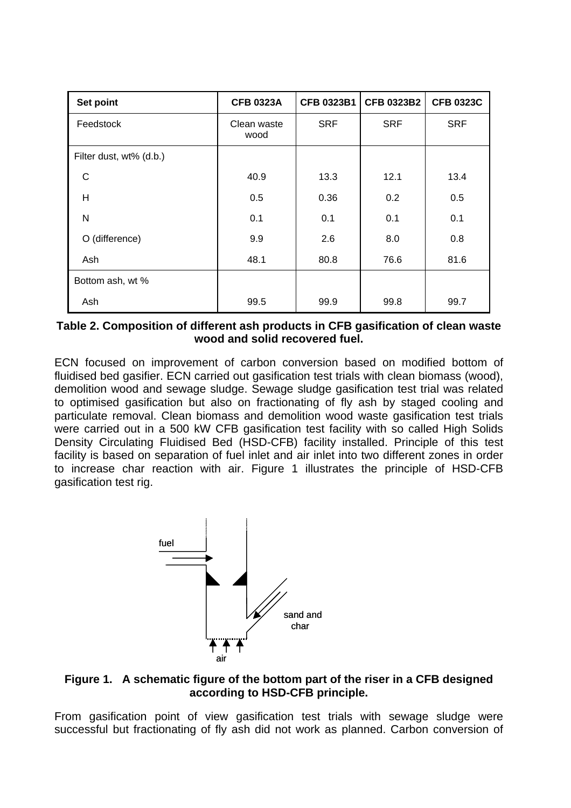| Set point               | <b>CFB 0323A</b>    | <b>CFB 0323B1</b> | <b>CFB 0323B2</b> | <b>CFB 0323C</b> |
|-------------------------|---------------------|-------------------|-------------------|------------------|
| Feedstock               | Clean waste<br>wood | <b>SRF</b>        | <b>SRF</b>        | <b>SRF</b>       |
| Filter dust, wt% (d.b.) |                     |                   |                   |                  |
| C                       | 40.9                | 13.3              | 12.1              | 13.4             |
| H                       | 0.5                 | 0.36              | 0.2               | 0.5              |
| N                       | 0.1                 | 0.1               | 0.1               | 0.1              |
| O (difference)          | 9.9                 | 2.6               | 8.0               | 0.8              |
| Ash                     | 48.1                | 80.8              | 76.6              | 81.6             |
| Bottom ash, wt %        |                     |                   |                   |                  |
| Ash                     | 99.5                | 99.9              | 99.8              | 99.7             |

<span id="page-3-0"></span>**Table 2. Composition of different ash products in CFB gasification of clean waste wood and solid recovered fuel.** 

ECN focused on improvement of carbon conversion based on modified bottom of fluidised bed gasifier. ECN carried out gasification test trials with clean biomass (wood), demolition wood and sewage sludge. Sewage sludge gasification test trial was related to optimised gasification but also on fractionating of fly ash by staged cooling and particulate removal. Clean biomass and demolition wood waste gasification test trials were carried out in a 500 kW CFB gasification test facility with so called High Solids Density Circulating Fluidised Bed (HSD-CFB) facility installed. Principle of this test facility is based on separation of fuel inlet and air inlet into two different zones in order to increase char reaction with air. [Figure 1](#page-3-1) illustrates the principle of HSD-CFB gasification test rig.



### <span id="page-3-1"></span>**Figure 1. A schematic figure of the bottom part of the riser in a CFB designed according to HSD-CFB principle.**

From gasification point of view gasification test trials with sewage sludge were successful but fractionating of fly ash did not work as planned. Carbon conversion of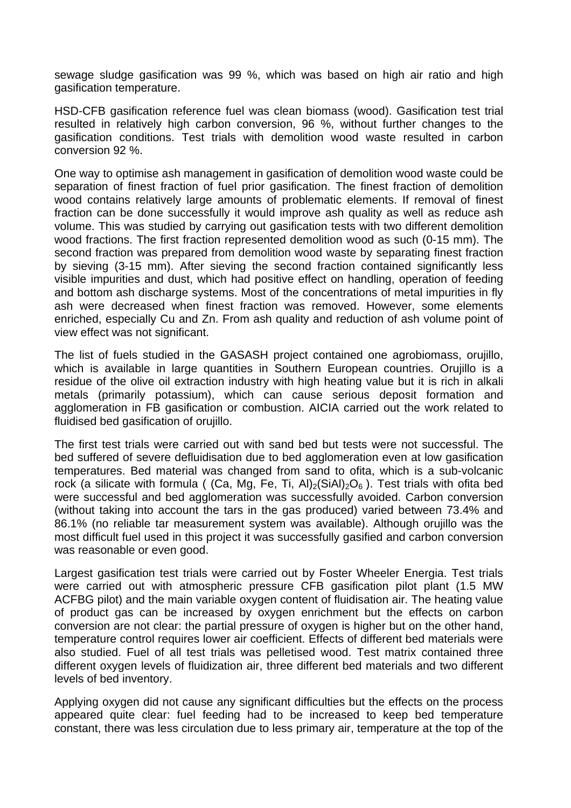sewage sludge gasification was 99 %, which was based on high air ratio and high gasification temperature.

HSD-CFB gasification reference fuel was clean biomass (wood). Gasification test trial resulted in relatively high carbon conversion, 96 %, without further changes to the gasification conditions. Test trials with demolition wood waste resulted in carbon conversion 92 %.

One way to optimise ash management in gasification of demolition wood waste could be separation of finest fraction of fuel prior gasification. The finest fraction of demolition wood contains relatively large amounts of problematic elements. If removal of finest fraction can be done successfully it would improve ash quality as well as reduce ash volume. This was studied by carrying out gasification tests with two different demolition wood fractions. The first fraction represented demolition wood as such (0-15 mm). The second fraction was prepared from demolition wood waste by separating finest fraction by sieving (3-15 mm). After sieving the second fraction contained significantly less visible impurities and dust, which had positive effect on handling, operation of feeding and bottom ash discharge systems. Most of the concentrations of metal impurities in fly ash were decreased when finest fraction was removed. However, some elements enriched, especially Cu and Zn. From ash quality and reduction of ash volume point of view effect was not significant.

The list of fuels studied in the GASASH project contained one agrobiomass, orujillo, which is available in large quantities in Southern European countries. Orujillo is a residue of the olive oil extraction industry with high heating value but it is rich in alkali metals (primarily potassium), which can cause serious deposit formation and agglomeration in FB gasification or combustion. AICIA carried out the work related to fluidised bed gasification of orujillo.

The first test trials were carried out with sand bed but tests were not successful. The bed suffered of severe defluidisation due to bed agglomeration even at low gasification temperatures. Bed material was changed from sand to ofita, which is a sub-volcanic rock (a silicate with formula ( (Ca, Mg, Fe, Ti, Al)<sub>2</sub>(SiAl)<sub>2</sub>O<sub>6</sub>). Test trials with ofita bed were successful and bed agglomeration was successfully avoided. Carbon conversion (without taking into account the tars in the gas produced) varied between 73.4% and 86.1% (no reliable tar measurement system was available). Although orujillo was the most difficult fuel used in this project it was successfully gasified and carbon conversion was reasonable or even good.

Largest gasification test trials were carried out by Foster Wheeler Energia. Test trials were carried out with atmospheric pressure CFB gasification pilot plant (1.5 MW ACFBG pilot) and the main variable oxygen content of fluidisation air. The heating value of product gas can be increased by oxygen enrichment but the effects on carbon conversion are not clear: the partial pressure of oxygen is higher but on the other hand, temperature control requires lower air coefficient. Effects of different bed materials were also studied. Fuel of all test trials was pelletised wood. Test matrix contained three different oxygen levels of fluidization air, three different bed materials and two different levels of bed inventory.

Applying oxygen did not cause any significant difficulties but the effects on the process appeared quite clear: fuel feeding had to be increased to keep bed temperature constant, there was less circulation due to less primary air, temperature at the top of the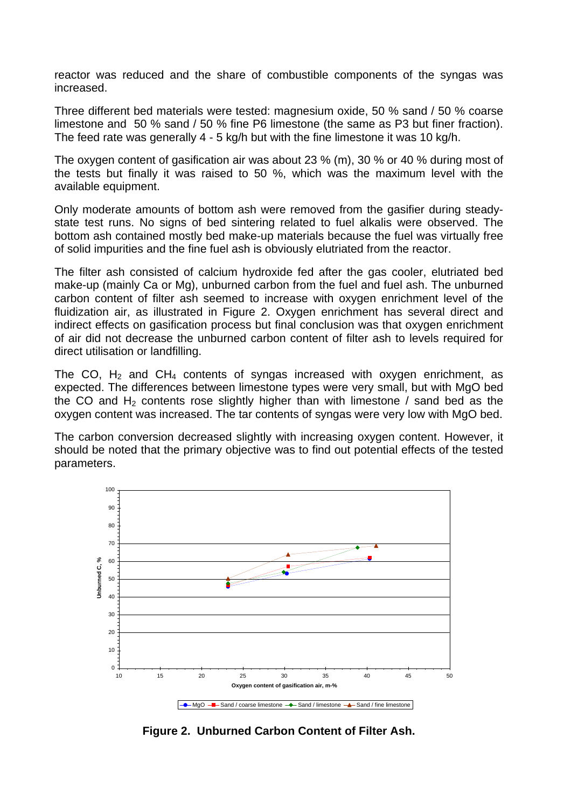reactor was reduced and the share of combustible components of the syngas was increased.

Three different bed materials were tested: magnesium oxide, 50 % sand / 50 % coarse limestone and 50 % sand / 50 % fine P6 limestone (the same as P3 but finer fraction). The feed rate was generally 4 - 5 kg/h but with the fine limestone it was 10 kg/h.

The oxygen content of gasification air was about 23 % (m), 30 % or 40 % during most of the tests but finally it was raised to 50 %, which was the maximum level with the available equipment.

Only moderate amounts of bottom ash were removed from the gasifier during steadystate test runs. No signs of bed sintering related to fuel alkalis were observed. The bottom ash contained mostly bed make-up materials because the fuel was virtually free of solid impurities and the fine fuel ash is obviously elutriated from the reactor.

The filter ash consisted of calcium hydroxide fed after the gas cooler, elutriated bed make-up (mainly Ca or Mg), unburned carbon from the fuel and fuel ash. The unburned carbon content of filter ash seemed to increase with oxygen enrichment level of the fluidization air, as illustrated in [Figure 2.](#page-5-0) Oxygen enrichment has several direct and indirect effects on gasification process but final conclusion was that oxygen enrichment of air did not decrease the unburned carbon content of filter ash to levels required for direct utilisation or landfilling.

The CO,  $H_2$  and CH<sub>4</sub> contents of syngas increased with oxygen enrichment, as expected. The differences between limestone types were very small, but with MgO bed the CO and  $H<sub>2</sub>$  contents rose slightly higher than with limestone / sand bed as the oxygen content was increased. The tar contents of syngas were very low with MgO bed.

The carbon conversion decreased slightly with increasing oxygen content. However, it should be noted that the primary objective was to find out potential effects of the tested parameters.

<span id="page-5-0"></span>

**Figure 2. Unburned Carbon Content of Filter Ash.**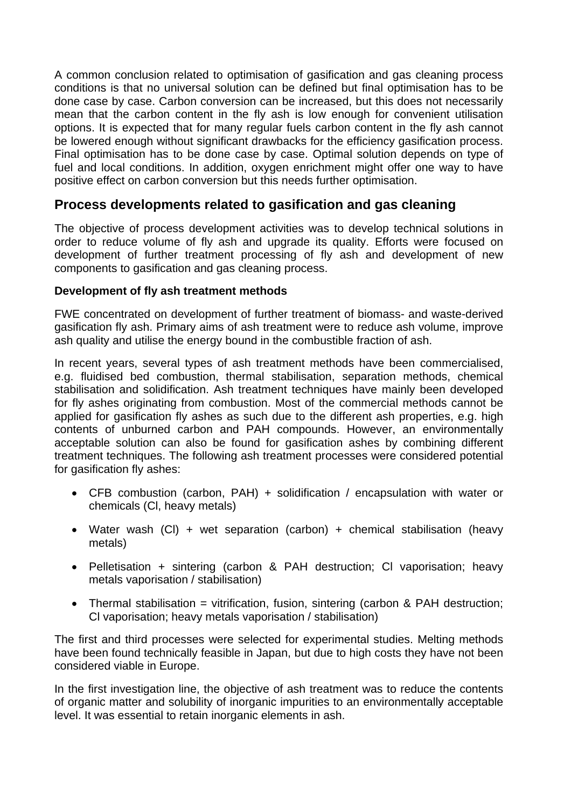A common conclusion related to optimisation of gasification and gas cleaning process conditions is that no universal solution can be defined but final optimisation has to be done case by case. Carbon conversion can be increased, but this does not necessarily mean that the carbon content in the fly ash is low enough for convenient utilisation options. It is expected that for many regular fuels carbon content in the fly ash cannot be lowered enough without significant drawbacks for the efficiency gasification process. Final optimisation has to be done case by case. Optimal solution depends on type of fuel and local conditions. In addition, oxygen enrichment might offer one way to have positive effect on carbon conversion but this needs further optimisation.

# **Process developments related to gasification and gas cleaning**

The objective of process development activities was to develop technical solutions in order to reduce volume of fly ash and upgrade its quality. Efforts were focused on development of further treatment processing of fly ash and development of new components to gasification and gas cleaning process.

### **Development of fly ash treatment methods**

FWE concentrated on development of further treatment of biomass- and waste-derived gasification fly ash. Primary aims of ash treatment were to reduce ash volume, improve ash quality and utilise the energy bound in the combustible fraction of ash.

In recent years, several types of ash treatment methods have been commercialised, e.g. fluidised bed combustion, thermal stabilisation, separation methods, chemical stabilisation and solidification. Ash treatment techniques have mainly been developed for fly ashes originating from combustion. Most of the commercial methods cannot be applied for gasification fly ashes as such due to the different ash properties, e.g. high contents of unburned carbon and PAH compounds. However, an environmentally acceptable solution can also be found for gasification ashes by combining different treatment techniques. The following ash treatment processes were considered potential for gasification fly ashes:

- CFB combustion (carbon, PAH) + solidification / encapsulation with water or chemicals (Cl, heavy metals)
- Water wash (Cl) + wet separation (carbon) + chemical stabilisation (heavy metals)
- Pelletisation + sintering (carbon & PAH destruction; Cl vaporisation; heavy metals vaporisation / stabilisation)
- Thermal stabilisation = vitrification, fusion, sintering (carbon & PAH destruction; Cl vaporisation; heavy metals vaporisation / stabilisation)

The first and third processes were selected for experimental studies. Melting methods have been found technically feasible in Japan, but due to high costs they have not been considered viable in Europe.

In the first investigation line, the objective of ash treatment was to reduce the contents of organic matter and solubility of inorganic impurities to an environmentally acceptable level. It was essential to retain inorganic elements in ash.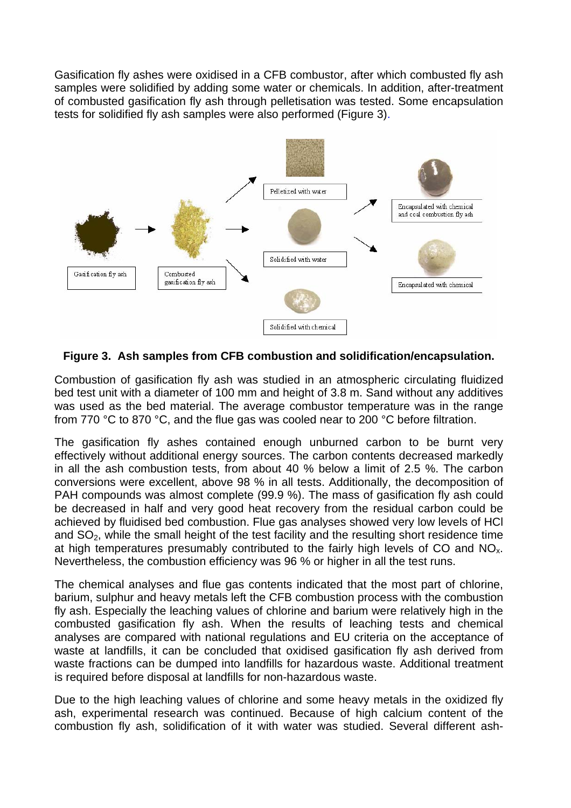Gasification fly ashes were oxidised in a CFB combustor, after which combusted fly ash samples were solidified by adding some water or chemicals. In addition, after-treatment of combusted gasification fly ash through pelletisation was tested. Some encapsulation tests for solidified fly ash samples were also performed ([Figure 3\)](#page-7-0).

<span id="page-7-0"></span>

**Figure 3. Ash samples from CFB combustion and solidification/encapsulation.** 

Combustion of gasification fly ash was studied in an atmospheric circulating fluidized bed test unit with a diameter of 100 mm and height of 3.8 m. Sand without any additives was used as the bed material. The average combustor temperature was in the range from 770 °C to 870 °C, and the flue gas was cooled near to 200 °C before filtration.

The gasification fly ashes contained enough unburned carbon to be burnt very effectively without additional energy sources. The carbon contents decreased markedly in all the ash combustion tests, from about 40 % below a limit of 2.5 %. The carbon conversions were excellent, above 98 % in all tests. Additionally, the decomposition of PAH compounds was almost complete (99.9 %). The mass of gasification fly ash could be decreased in half and very good heat recovery from the residual carbon could be achieved by fluidised bed combustion. Flue gas analyses showed very low levels of HCl and  $SO<sub>2</sub>$ , while the small height of the test facility and the resulting short residence time at high temperatures presumably contributed to the fairly high levels of CO and  $NO<sub>x</sub>$ . Nevertheless, the combustion efficiency was 96 % or higher in all the test runs.

The chemical analyses and flue gas contents indicated that the most part of chlorine, barium, sulphur and heavy metals left the CFB combustion process with the combustion fly ash. Especially the leaching values of chlorine and barium were relatively high in the combusted gasification fly ash. When the results of leaching tests and chemical analyses are compared with national regulations and EU criteria on the acceptance of waste at landfills, it can be concluded that oxidised gasification fly ash derived from waste fractions can be dumped into landfills for hazardous waste. Additional treatment is required before disposal at landfills for non-hazardous waste.

Due to the high leaching values of chlorine and some heavy metals in the oxidized fly ash, experimental research was continued. Because of high calcium content of the combustion fly ash, solidification of it with water was studied. Several different ash-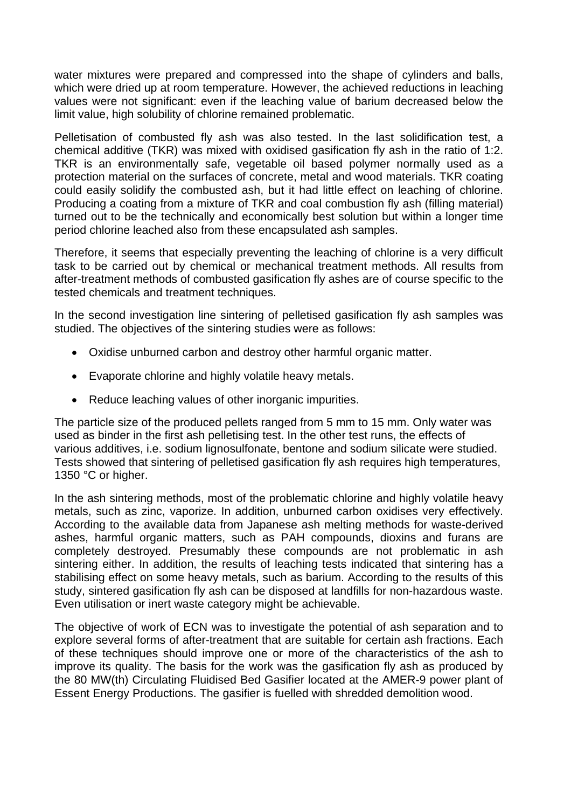water mixtures were prepared and compressed into the shape of cylinders and balls, which were dried up at room temperature. However, the achieved reductions in leaching values were not significant: even if the leaching value of barium decreased below the limit value, high solubility of chlorine remained problematic.

Pelletisation of combusted fly ash was also tested. In the last solidification test, a chemical additive (TKR) was mixed with oxidised gasification fly ash in the ratio of 1:2. TKR is an environmentally safe, vegetable oil based polymer normally used as a protection material on the surfaces of concrete, metal and wood materials. TKR coating could easily solidify the combusted ash, but it had little effect on leaching of chlorine. Producing a coating from a mixture of TKR and coal combustion fly ash (filling material) turned out to be the technically and economically best solution but within a longer time period chlorine leached also from these encapsulated ash samples.

Therefore, it seems that especially preventing the leaching of chlorine is a very difficult task to be carried out by chemical or mechanical treatment methods. All results from after-treatment methods of combusted gasification fly ashes are of course specific to the tested chemicals and treatment techniques.

In the second investigation line sintering of pelletised gasification fly ash samples was studied. The objectives of the sintering studies were as follows:

- Oxidise unburned carbon and destroy other harmful organic matter.
- Evaporate chlorine and highly volatile heavy metals.
- Reduce leaching values of other inorganic impurities.

The particle size of the produced pellets ranged from 5 mm to 15 mm. Only water was used as binder in the first ash pelletising test. In the other test runs, the effects of various additives, i.e. sodium lignosulfonate, bentone and sodium silicate were studied. Tests showed that sintering of pelletised gasification fly ash requires high temperatures, 1350 °C or higher.

In the ash sintering methods, most of the problematic chlorine and highly volatile heavy metals, such as zinc, vaporize. In addition, unburned carbon oxidises very effectively. According to the available data from Japanese ash melting methods for waste-derived ashes, harmful organic matters, such as PAH compounds, dioxins and furans are completely destroyed. Presumably these compounds are not problematic in ash sintering either. In addition, the results of leaching tests indicated that sintering has a stabilising effect on some heavy metals, such as barium. According to the results of this study, sintered gasification fly ash can be disposed at landfills for non-hazardous waste. Even utilisation or inert waste category might be achievable.

The objective of work of ECN was to investigate the potential of ash separation and to explore several forms of after-treatment that are suitable for certain ash fractions. Each of these techniques should improve one or more of the characteristics of the ash to improve its quality. The basis for the work was the gasification fly ash as produced by the 80 MW(th) Circulating Fluidised Bed Gasifier located at the AMER-9 power plant of Essent Energy Productions. The gasifier is fuelled with shredded demolition wood.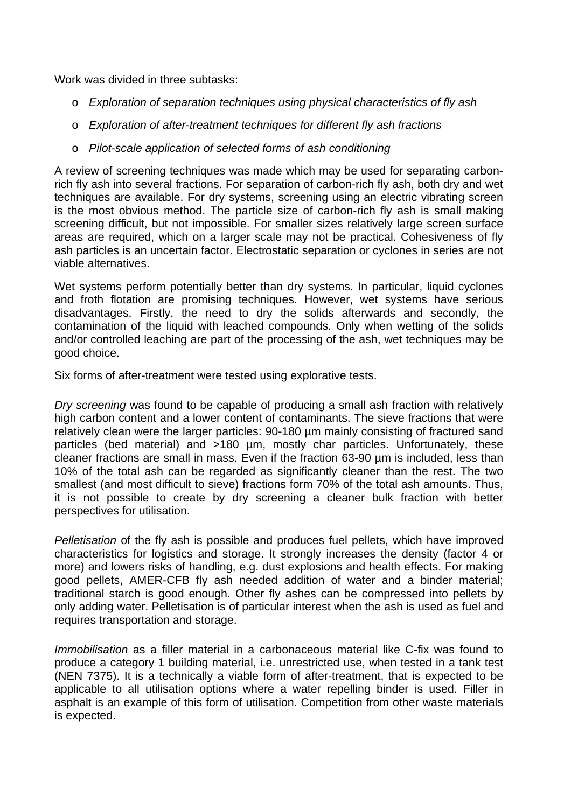Work was divided in three subtasks:

- o *Exploration of separation techniques using physical characteristics of fly ash*
- o *Exploration of after-treatment techniques for different fly ash fractions*
- o *Pilot-scale application of selected forms of ash conditioning*

A review of screening techniques was made which may be used for separating carbonrich fly ash into several fractions. For separation of carbon-rich fly ash, both dry and wet techniques are available. For dry systems, screening using an electric vibrating screen is the most obvious method. The particle size of carbon-rich fly ash is small making screening difficult, but not impossible. For smaller sizes relatively large screen surface areas are required, which on a larger scale may not be practical. Cohesiveness of fly ash particles is an uncertain factor. Electrostatic separation or cyclones in series are not viable alternatives.

Wet systems perform potentially better than dry systems. In particular, liquid cyclones and froth flotation are promising techniques. However, wet systems have serious disadvantages. Firstly, the need to dry the solids afterwards and secondly, the contamination of the liquid with leached compounds. Only when wetting of the solids and/or controlled leaching are part of the processing of the ash, wet techniques may be good choice.

Six forms of after-treatment were tested using explorative tests.

*Dry screening* was found to be capable of producing a small ash fraction with relatively high carbon content and a lower content of contaminants. The sieve fractions that were relatively clean were the larger particles: 90-180 µm mainly consisting of fractured sand particles (bed material) and >180 µm, mostly char particles. Unfortunately, these cleaner fractions are small in mass. Even if the fraction 63-90 µm is included, less than 10% of the total ash can be regarded as significantly cleaner than the rest. The two smallest (and most difficult to sieve) fractions form 70% of the total ash amounts. Thus, it is not possible to create by dry screening a cleaner bulk fraction with better perspectives for utilisation.

*Pelletisation* of the fly ash is possible and produces fuel pellets, which have improved characteristics for logistics and storage. It strongly increases the density (factor 4 or more) and lowers risks of handling, e.g. dust explosions and health effects. For making good pellets, AMER-CFB fly ash needed addition of water and a binder material; traditional starch is good enough. Other fly ashes can be compressed into pellets by only adding water. Pelletisation is of particular interest when the ash is used as fuel and requires transportation and storage.

*Immobilisation* as a filler material in a carbonaceous material like C-fix was found to produce a category 1 building material, i.e. unrestricted use, when tested in a tank test (NEN 7375). It is a technically a viable form of after-treatment, that is expected to be applicable to all utilisation options where a water repelling binder is used. Filler in asphalt is an example of this form of utilisation. Competition from other waste materials is expected.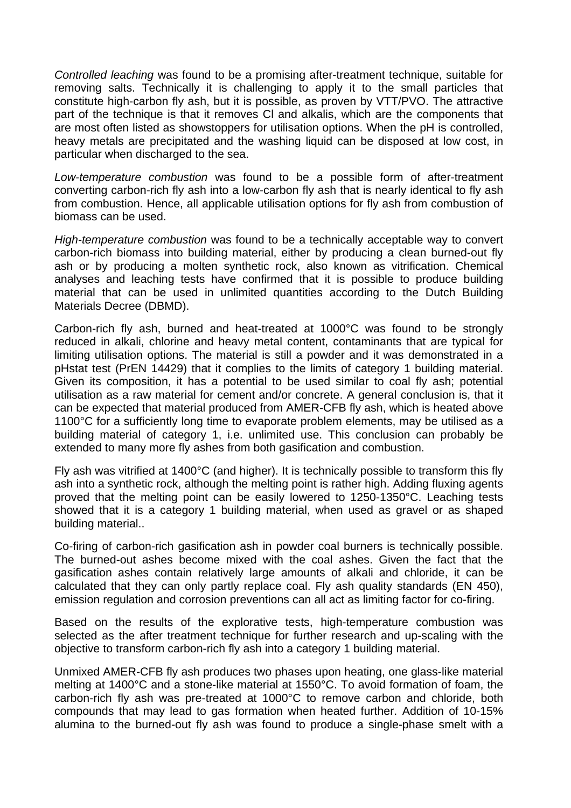*Controlled leaching* was found to be a promising after-treatment technique, suitable for removing salts. Technically it is challenging to apply it to the small particles that constitute high-carbon fly ash, but it is possible, as proven by VTT/PVO. The attractive part of the technique is that it removes Cl and alkalis, which are the components that are most often listed as showstoppers for utilisation options. When the pH is controlled, heavy metals are precipitated and the washing liquid can be disposed at low cost, in particular when discharged to the sea.

*Low-temperature combustion* was found to be a possible form of after-treatment converting carbon-rich fly ash into a low-carbon fly ash that is nearly identical to fly ash from combustion. Hence, all applicable utilisation options for fly ash from combustion of biomass can be used.

*High-temperature combustion* was found to be a technically acceptable way to convert carbon-rich biomass into building material, either by producing a clean burned-out fly ash or by producing a molten synthetic rock, also known as vitrification. Chemical analyses and leaching tests have confirmed that it is possible to produce building material that can be used in unlimited quantities according to the Dutch Building Materials Decree (DBMD).

Carbon-rich fly ash, burned and heat-treated at 1000°C was found to be strongly reduced in alkali, chlorine and heavy metal content, contaminants that are typical for limiting utilisation options. The material is still a powder and it was demonstrated in a pHstat test (PrEN 14429) that it complies to the limits of category 1 building material. Given its composition, it has a potential to be used similar to coal fly ash; potential utilisation as a raw material for cement and/or concrete. A general conclusion is, that it can be expected that material produced from AMER-CFB fly ash, which is heated above 1100°C for a sufficiently long time to evaporate problem elements, may be utilised as a building material of category 1, i.e. unlimited use. This conclusion can probably be extended to many more fly ashes from both gasification and combustion.

Fly ash was vitrified at 1400°C (and higher). It is technically possible to transform this fly ash into a synthetic rock, although the melting point is rather high. Adding fluxing agents proved that the melting point can be easily lowered to 1250-1350°C. Leaching tests showed that it is a category 1 building material, when used as gravel or as shaped building material..

Co-firing of carbon-rich gasification ash in powder coal burners is technically possible. The burned-out ashes become mixed with the coal ashes. Given the fact that the gasification ashes contain relatively large amounts of alkali and chloride, it can be calculated that they can only partly replace coal. Fly ash quality standards (EN 450), emission regulation and corrosion preventions can all act as limiting factor for co-firing.

Based on the results of the explorative tests, high-temperature combustion was selected as the after treatment technique for further research and up-scaling with the objective to transform carbon-rich fly ash into a category 1 building material.

Unmixed AMER-CFB fly ash produces two phases upon heating, one glass-like material melting at 1400°C and a stone-like material at 1550°C. To avoid formation of foam, the carbon-rich fly ash was pre-treated at 1000°C to remove carbon and chloride, both compounds that may lead to gas formation when heated further. Addition of 10-15% alumina to the burned-out fly ash was found to produce a single-phase smelt with a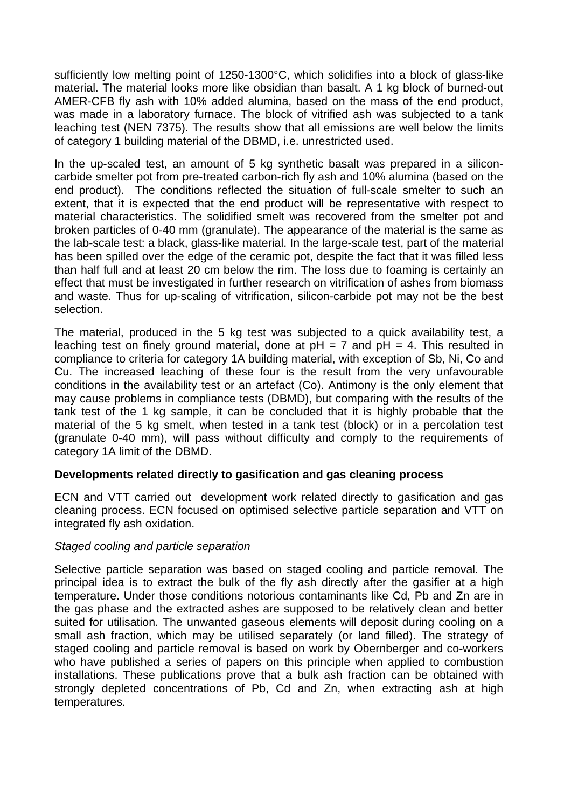sufficiently low melting point of 1250-1300°C, which solidifies into a block of glass-like material. The material looks more like obsidian than basalt. A 1 kg block of burned-out AMER-CFB fly ash with 10% added alumina, based on the mass of the end product, was made in a laboratory furnace. The block of vitrified ash was subjected to a tank leaching test (NEN 7375). The results show that all emissions are well below the limits of category 1 building material of the DBMD, i.e. unrestricted used.

In the up-scaled test, an amount of 5 kg synthetic basalt was prepared in a siliconcarbide smelter pot from pre-treated carbon-rich fly ash and 10% alumina (based on the end product). The conditions reflected the situation of full-scale smelter to such an extent, that it is expected that the end product will be representative with respect to material characteristics. The solidified smelt was recovered from the smelter pot and broken particles of 0-40 mm (granulate). The appearance of the material is the same as the lab-scale test: a black, glass-like material. In the large-scale test, part of the material has been spilled over the edge of the ceramic pot, despite the fact that it was filled less than half full and at least 20 cm below the rim. The loss due to foaming is certainly an effect that must be investigated in further research on vitrification of ashes from biomass and waste. Thus for up-scaling of vitrification, silicon-carbide pot may not be the best selection.

The material, produced in the 5 kg test was subjected to a quick availability test, a leaching test on finely ground material, done at  $pH = 7$  and  $pH = 4$ . This resulted in compliance to criteria for category 1A building material, with exception of Sb, Ni, Co and Cu. The increased leaching of these four is the result from the very unfavourable conditions in the availability test or an artefact (Co). Antimony is the only element that may cause problems in compliance tests (DBMD), but comparing with the results of the tank test of the 1 kg sample, it can be concluded that it is highly probable that the material of the 5 kg smelt, when tested in a tank test (block) or in a percolation test (granulate 0-40 mm), will pass without difficulty and comply to the requirements of category 1A limit of the DBMD.

## **Developments related directly to gasification and gas cleaning process**

ECN and VTT carried out development work related directly to gasification and gas cleaning process. ECN focused on optimised selective particle separation and VTT on integrated fly ash oxidation.

### *Staged cooling and particle separation*

Selective particle separation was based on staged cooling and particle removal. The principal idea is to extract the bulk of the fly ash directly after the gasifier at a high temperature. Under those conditions notorious contaminants like Cd, Pb and Zn are in the gas phase and the extracted ashes are supposed to be relatively clean and better suited for utilisation. The unwanted gaseous elements will deposit during cooling on a small ash fraction, which may be utilised separately (or land filled). The strategy of staged cooling and particle removal is based on work by Obernberger and co-workers who have published a series of papers on this principle when applied to combustion installations. These publications prove that a bulk ash fraction can be obtained with strongly depleted concentrations of Pb, Cd and Zn, when extracting ash at high temperatures.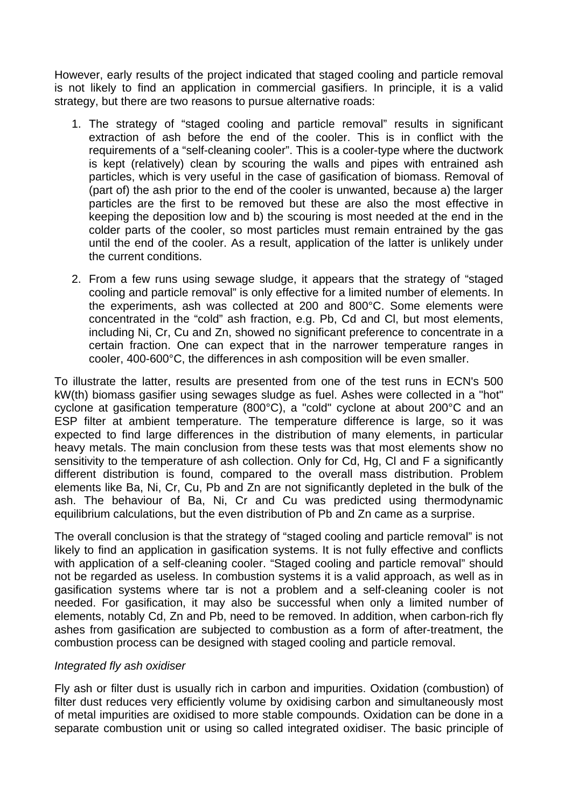However, early results of the project indicated that staged cooling and particle removal is not likely to find an application in commercial gasifiers. In principle, it is a valid strategy, but there are two reasons to pursue alternative roads:

- 1. The strategy of "staged cooling and particle removal" results in significant extraction of ash before the end of the cooler. This is in conflict with the requirements of a "self-cleaning cooler". This is a cooler-type where the ductwork is kept (relatively) clean by scouring the walls and pipes with entrained ash particles, which is very useful in the case of gasification of biomass. Removal of (part of) the ash prior to the end of the cooler is unwanted, because a) the larger particles are the first to be removed but these are also the most effective in keeping the deposition low and b) the scouring is most needed at the end in the colder parts of the cooler, so most particles must remain entrained by the gas until the end of the cooler. As a result, application of the latter is unlikely under the current conditions.
- 2. From a few runs using sewage sludge, it appears that the strategy of "staged cooling and particle removal" is only effective for a limited number of elements. In the experiments, ash was collected at 200 and 800°C. Some elements were concentrated in the "cold" ash fraction, e.g. Pb, Cd and Cl, but most elements, including Ni, Cr, Cu and Zn, showed no significant preference to concentrate in a certain fraction. One can expect that in the narrower temperature ranges in cooler, 400-600°C, the differences in ash composition will be even smaller.

To illustrate the latter, results are presented from one of the test runs in ECN's 500 kW(th) biomass gasifier using sewages sludge as fuel. Ashes were collected in a "hot" cyclone at gasification temperature (800°C), a "cold" cyclone at about 200°C and an ESP filter at ambient temperature. The temperature difference is large, so it was expected to find large differences in the distribution of many elements, in particular heavy metals. The main conclusion from these tests was that most elements show no sensitivity to the temperature of ash collection. Only for Cd, Hg, Cl and F a significantly different distribution is found, compared to the overall mass distribution. Problem elements like Ba, Ni, Cr, Cu, Pb and Zn are not significantly depleted in the bulk of the ash. The behaviour of Ba, Ni, Cr and Cu was predicted using thermodynamic equilibrium calculations, but the even distribution of Pb and Zn came as a surprise.

The overall conclusion is that the strategy of "staged cooling and particle removal" is not likely to find an application in gasification systems. It is not fully effective and conflicts with application of a self-cleaning cooler. "Staged cooling and particle removal" should not be regarded as useless. In combustion systems it is a valid approach, as well as in gasification systems where tar is not a problem and a self-cleaning cooler is not needed. For gasification, it may also be successful when only a limited number of elements, notably Cd, Zn and Pb, need to be removed. In addition, when carbon-rich fly ashes from gasification are subjected to combustion as a form of after-treatment, the combustion process can be designed with staged cooling and particle removal.

#### *Integrated fly ash oxidiser*

Fly ash or filter dust is usually rich in carbon and impurities. Oxidation (combustion) of filter dust reduces very efficiently volume by oxidising carbon and simultaneously most of metal impurities are oxidised to more stable compounds. Oxidation can be done in a separate combustion unit or using so called integrated oxidiser. The basic principle of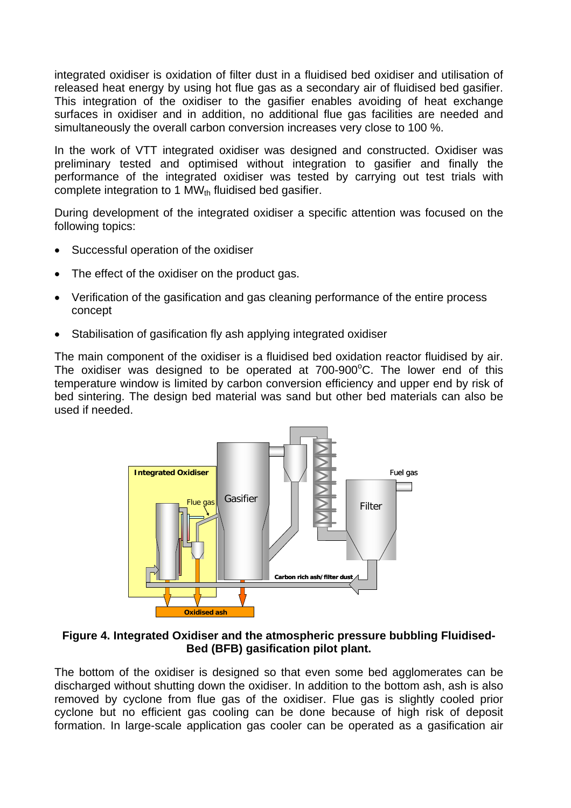integrated oxidiser is oxidation of filter dust in a fluidised bed oxidiser and utilisation of released heat energy by using hot flue gas as a secondary air of fluidised bed gasifier. This integration of the oxidiser to the gasifier enables avoiding of heat exchange surfaces in oxidiser and in addition, no additional flue gas facilities are needed and simultaneously the overall carbon conversion increases very close to 100 %.

In the work of VTT integrated oxidiser was designed and constructed. Oxidiser was preliminary tested and optimised without integration to gasifier and finally the performance of the integrated oxidiser was tested by carrying out test trials with complete integration to 1  $MW_{th}$  fluidised bed gasifier.

During development of the integrated oxidiser a specific attention was focused on the following topics:

- Successful operation of the oxidiser
- The effect of the oxidiser on the product gas.
- Verification of the gasification and gas cleaning performance of the entire process concept
- Stabilisation of gasification fly ash applying integrated oxidiser

The main component of the oxidiser is a fluidised bed oxidation reactor fluidised by air. The oxidiser was designed to be operated at  $700-900^{\circ}$ C. The lower end of this temperature window is limited by carbon conversion efficiency and upper end by risk of bed sintering. The design bed material was sand but other bed materials can also be used if needed.



#### **Figure 4. Integrated Oxidiser and the atmospheric pressure bubbling Fluidised-Bed (BFB) gasification pilot plant.**

The bottom of the oxidiser is designed so that even some bed agglomerates can be discharged without shutting down the oxidiser. In addition to the bottom ash, ash is also removed by cyclone from flue gas of the oxidiser. Flue gas is slightly cooled prior cyclone but no efficient gas cooling can be done because of high risk of deposit formation. In large-scale application gas cooler can be operated as a gasification air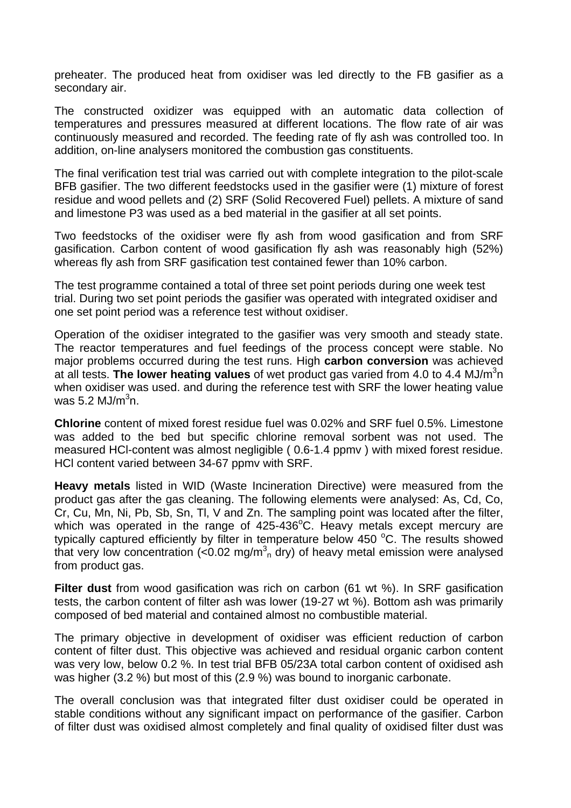preheater. The produced heat from oxidiser was led directly to the FB gasifier as a secondary air.

The constructed oxidizer was equipped with an automatic data collection of temperatures and pressures measured at different locations. The flow rate of air was continuously measured and recorded. The feeding rate of fly ash was controlled too. In addition, on-line analysers monitored the combustion gas constituents.

The final verification test trial was carried out with complete integration to the pilot-scale BFB gasifier. The two different feedstocks used in the gasifier were (1) mixture of forest residue and wood pellets and (2) SRF (Solid Recovered Fuel) pellets. A mixture of sand and limestone P3 was used as a bed material in the gasifier at all set points.

Two feedstocks of the oxidiser were fly ash from wood gasification and from SRF gasification. Carbon content of wood gasification fly ash was reasonably high (52%) whereas fly ash from SRF gasification test contained fewer than 10% carbon.

The test programme contained a total of three set point periods during one week test trial. During two set point periods the gasifier was operated with integrated oxidiser and one set point period was a reference test without oxidiser.

Operation of the oxidiser integrated to the gasifier was very smooth and steady state. The reactor temperatures and fuel feedings of the process concept were stable. No major problems occurred during the test runs. High **carbon conversion** was achieved at all tests. The lower heating values of wet product gas varied from 4.0 to 4.4 MJ/m<sup>3</sup>n when oxidiser was used. and during the reference test with SRF the lower heating value was 5.2 MJ/m $^3$ n.

**Chlorine** content of mixed forest residue fuel was 0.02% and SRF fuel 0.5%. Limestone was added to the bed but specific chlorine removal sorbent was not used. The measured HCl-content was almost negligible ( 0.6-1.4 ppmv ) with mixed forest residue. HCl content varied between 34-67 ppmv with SRF.

**Heavy metals** listed in WID (Waste Incineration Directive) were measured from the product gas after the gas cleaning. The following elements were analysed: As, Cd, Co, Cr, Cu, Mn, Ni, Pb, Sb, Sn, Tl, V and Zn. The sampling point was located after the filter, which was operated in the range of  $425-436^{\circ}$ C. Heavy metals except mercury are typically captured efficiently by filter in temperature below 450  $^{\circ}$ C. The results showed that very low concentration (< $0.02 \text{ mg/m}^3$ <sub>n</sub> dry) of heavy metal emission were analysed from product gas.

**Filter dust** from wood gasification was rich on carbon (61 wt %). In SRF gasification tests, the carbon content of filter ash was lower (19-27 wt %). Bottom ash was primarily composed of bed material and contained almost no combustible material.

The primary objective in development of oxidiser was efficient reduction of carbon content of filter dust. This objective was achieved and residual organic carbon content was very low, below 0.2 %. In test trial BFB 05/23A total carbon content of oxidised ash was higher (3.2 %) but most of this (2.9 %) was bound to inorganic carbonate.

The overall conclusion was that integrated filter dust oxidiser could be operated in stable conditions without any significant impact on performance of the gasifier. Carbon of filter dust was oxidised almost completely and final quality of oxidised filter dust was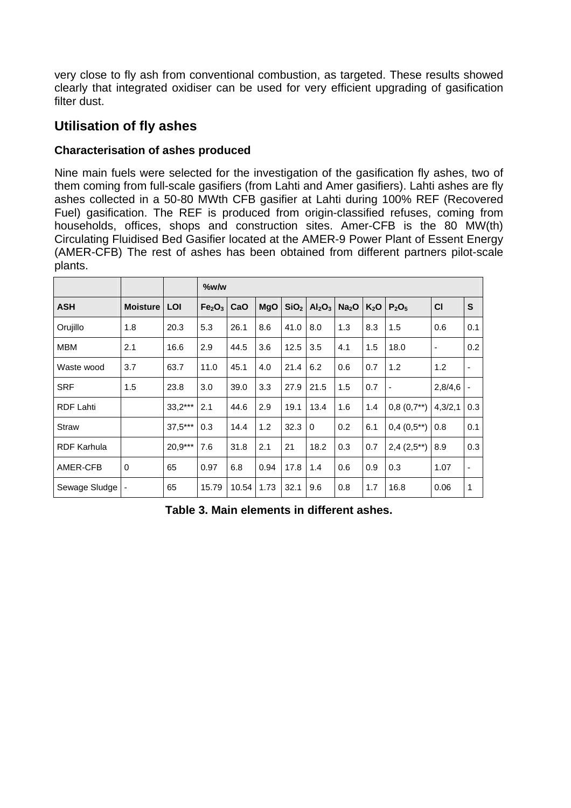very close to fly ash from conventional combustion, as targeted. These results showed clearly that integrated oxidiser can be used for very efficient upgrading of gasification filter dust.

# **Utilisation of fly ashes**

## **Characterisation of ashes produced**

Nine main fuels were selected for the investigation of the gasification fly ashes, two of them coming from full-scale gasifiers (from Lahti and Amer gasifiers). Lahti ashes are fly ashes collected in a 50-80 MWth CFB gasifier at Lahti during 100% REF (Recovered Fuel) gasification. The REF is produced from origin-classified refuses, coming from households, offices, shops and construction sites. Amer-CFB is the 80 MW(th) Circulating Fluidised Bed Gasifier located at the AMER-9 Power Plant of Essent Energy (AMER-CFB) The rest of ashes has been obtained from different partners pilot-scale plants.

|                    |                 |           | %w/w                           |       |            |                  |                                |                   |                  |                 |                          |              |
|--------------------|-----------------|-----------|--------------------------------|-------|------------|------------------|--------------------------------|-------------------|------------------|-----------------|--------------------------|--------------|
| <b>ASH</b>         | <b>Moisture</b> | LOI       | Fe <sub>2</sub> O <sub>3</sub> | CaO   | <b>MgO</b> | SiO <sub>2</sub> | Al <sub>2</sub> O <sub>3</sub> | Na <sub>2</sub> O | K <sub>2</sub> O | $P_2O_5$        | C <sub>1</sub>           | $\mathbf{s}$ |
| Orujillo           | 1.8             | 20.3      | 5.3                            | 26.1  | 8.6        | 41.0             | 8.0                            | 1.3               | 8.3              | 1.5             | 0.6                      | 0.1          |
| <b>MBM</b>         | 2.1             | 16.6      | 2.9                            | 44.5  | 3.6        | 12.5             | 3.5                            | 4.1               | 1.5              | 18.0            | $\overline{\phantom{a}}$ | 0.2          |
| Waste wood         | 3.7             | 63.7      | 11.0                           | 45.1  | 4.0        | 21.4             | 6.2                            | 0.6               | 0.7              | 1.2             | 1.2                      | -            |
| <b>SRF</b>         | 1.5             | 23.8      | 3.0                            | 39.0  | 3.3        | 27.9             | 21.5                           | 1.5               | 0.7              |                 | 2,8/4,6                  |              |
| <b>RDF Lahti</b>   |                 | $33,2***$ | 2.1                            | 44.6  | 2.9        | 19.1             | 13.4                           | 1.6               | 1.4              | $0,8(0,7^{**})$ | 4,3/2,1                  | 0.3          |
| <b>Straw</b>       |                 | $37,5***$ | 0.3                            | 14.4  | 1.2        | 32.3             | $\Omega$                       | 0.2               | 6.1              | $0,4(0,5^{**})$ | 0.8                      | 0.1          |
| <b>RDF Karhula</b> |                 | 20,9***   | 7.6                            | 31.8  | 2.1        | 21               | 18.2                           | 0.3               | 0.7              | $2,4(2,5^{**})$ | 8.9                      | 0.3          |
| AMER-CFB           | $\Omega$        | 65        | 0.97                           | 6.8   | 0.94       | 17.8             | 1.4                            | 0.6               | 0.9              | 0.3             | 1.07                     | -            |
| Sewage Sludge      |                 | 65        | 15.79                          | 10.54 | 1.73       | 32.1             | 9.6                            | 0.8               | 1.7              | 16.8            | 0.06                     | 1            |

**Table 3. Main elements in different ashes.**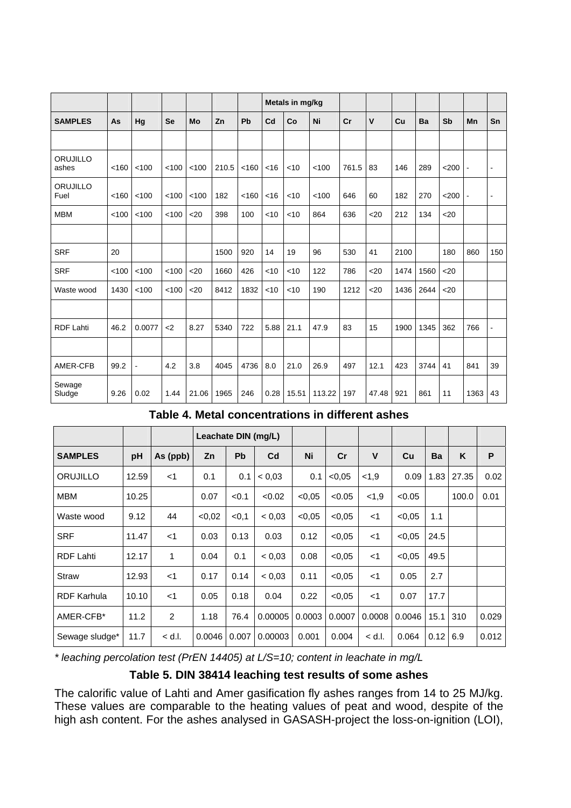|                   |       |                |           |       |       |       |        | Metals in mg/kg |        |       |              |      |      |                  |                |                |
|-------------------|-------|----------------|-----------|-------|-------|-------|--------|-----------------|--------|-------|--------------|------|------|------------------|----------------|----------------|
| <b>SAMPLES</b>    | As    | Hg             | <b>Se</b> | Mo    | Zn    | Pb    | Cd     | Co              | Ni     | cr    | $\mathsf{v}$ | Cu   | Ba   | Sb               | Mn             | Sn             |
|                   |       |                |           |       |       |       |        |                 |        |       |              |      |      |                  |                |                |
| ORUJILLO<br>ashes | < 160 | < 100          | < 100     | < 100 | 210.5 | < 160 | <16    | < 10            | < 100  | 761.5 | 83           | 146  | 289  | < 200            | $\blacksquare$ | $\blacksquare$ |
| ORUJILLO<br>Fuel  | < 160 | < 100          | < 100     | < 100 | 182   | < 160 | <16    | < 10            | < 100  | 646   | 60           | 182  | 270  | $<$ 200          |                | ٠              |
| <b>MBM</b>        | < 100 | < 100          | < 100     | $20$  | 398   | 100   | <10    | <10             | 864    | 636   | 20           | 212  | 134  | $20$             |                |                |
|                   |       |                |           |       |       |       |        |                 |        |       |              |      |      |                  |                |                |
| <b>SRF</b>        | 20    |                |           |       | 1500  | 920   | 14     | 19              | 96     | 530   | 41           | 2100 |      | 180              | 860            | 150            |
| <b>SRF</b>        | < 100 | < 100          | < 100     | $20$  | 1660  | 426   | $<$ 10 | < 10            | 122    | 786   | <20          | 1474 | 1560 | 20 <sub>20</sub> |                |                |
| Waste wood        | 1430  | < 100          | < 100     | $20$  | 8412  | 1832  | $<$ 10 | <10             | 190    | 1212  | 20           | 1436 | 2644 | $20$             |                |                |
|                   |       |                |           |       |       |       |        |                 |        |       |              |      |      |                  |                |                |
| <b>RDF Lahti</b>  | 46.2  | 0.0077         | $2$       | 8.27  | 5340  | 722   | 5.88   | 21.1            | 47.9   | 83    | 15           | 1900 | 1345 | 362              | 766            | ä,             |
|                   |       |                |           |       |       |       |        |                 |        |       |              |      |      |                  |                |                |
| AMER-CFB          | 99.2  | $\blacksquare$ | 4.2       | 3.8   | 4045  | 4736  | 8.0    | 21.0            | 26.9   | 497   | 12.1         | 423  | 3744 | 41               | 841            | 39             |
| Sewage<br>Sludge  | 9.26  | 0.02           | 1.44      | 21.06 | 1965  | 246   | 0.28   | 15.51           | 113.22 | 197   | 47.48        | 921  | 861  | 11               | 1363           | 43             |

### **Table 4. Metal concentrations in different ashes**

|                    |       |          | Leachate DIN (mg/L) |           |                |        |        |          |        |      |       |       |
|--------------------|-------|----------|---------------------|-----------|----------------|--------|--------|----------|--------|------|-------|-------|
| <b>SAMPLES</b>     | pH    | As (ppb) | Zn                  | <b>Pb</b> | C <sub>d</sub> | Ni     | cr     | V        | Cu     | Ba   | K     | P     |
| ORUJILLO           | 12.59 | $<$ 1    | 0.1                 | 0.1       | < 0.03         | 0.1    | < 0.05 | 1,9      | 0.09   | 1.83 | 27.35 | 0.02  |
| MBM                | 10.25 |          | 0.07                | < 0.1     | < 0.02         | < 0.05 | < 0.05 | 1,9      | < 0.05 |      | 100.0 | 0.01  |
| Waste wood         | 9.12  | 44       | <0.02               | < 0.1     | < 0.03         | < 0.05 | < 0.05 | $<$ 1    | < 0.05 | 1.1  |       |       |
| <b>SRF</b>         | 11.47 | $<$ 1    | 0.03                | 0.13      | 0.03           | 0.12   | < 0.05 | <1       | < 0.05 | 24.5 |       |       |
| <b>RDF Lahti</b>   | 12.17 | 1        | 0.04                | 0.1       | < 0.03         | 0.08   | < 0.05 | <1       | < 0.05 | 49.5 |       |       |
| <b>Straw</b>       | 12.93 | $<$ 1    | 0.17                | 0.14      | < 0.03         | 0.11   | < 0.05 | $<$ 1    | 0.05   | 2.7  |       |       |
| <b>RDF Karhula</b> | 10.10 | $<$ 1    | 0.05                | 0.18      | 0.04           | 0.22   | < 0.05 | $<$ 1    | 0.07   | 17.7 |       |       |
| AMER-CFB*          | 11.2  | 2        | 1.18                | 76.4      | 0.00005        | 0.0003 | 0.0007 | 0.0008   | 0.0046 | 15.1 | 310   | 0.029 |
| Sewage sludge*     | 11.7  | $<$ d.l. | 0.0046              | 0.007     | 0.00003        | 0.001  | 0.004  | $<$ d.l. | 0.064  | 0.12 | 6.9   | 0.012 |

*\* leaching percolation test (PrEN 14405) at L/S=10; content in leachate in mg/L* 

## **Table 5. DIN 38414 leaching test results of some ashes**

The calorific value of Lahti and Amer gasification fly ashes ranges from 14 to 25 MJ/kg. These values are comparable to the heating values of peat and wood, despite of the high ash content. For the ashes analysed in GASASH-project the loss-on-ignition (LOI),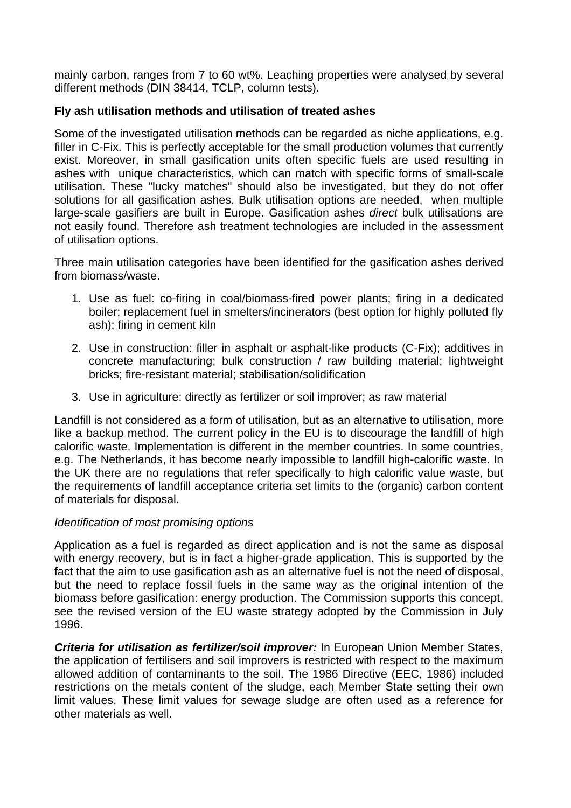mainly carbon, ranges from 7 to 60 wt%. Leaching properties were analysed by several different methods (DIN 38414, TCLP, column tests).

## **Fly ash utilisation methods and utilisation of treated ashes**

Some of the investigated utilisation methods can be regarded as niche applications, e.g. filler in C-Fix. This is perfectly acceptable for the small production volumes that currently exist. Moreover, in small gasification units often specific fuels are used resulting in ashes with unique characteristics, which can match with specific forms of small-scale utilisation. These "lucky matches" should also be investigated, but they do not offer solutions for all gasification ashes. Bulk utilisation options are needed, when multiple large-scale gasifiers are built in Europe. Gasification ashes *direct* bulk utilisations are not easily found. Therefore ash treatment technologies are included in the assessment of utilisation options.

Three main utilisation categories have been identified for the gasification ashes derived from biomass/waste.

- 1. Use as fuel: co-firing in coal/biomass-fired power plants; firing in a dedicated boiler; replacement fuel in smelters/incinerators (best option for highly polluted fly ash); firing in cement kiln
- 2. Use in construction: filler in asphalt or asphalt-like products (C-Fix); additives in concrete manufacturing; bulk construction / raw building material; lightweight bricks; fire-resistant material; stabilisation/solidification
- 3. Use in agriculture: directly as fertilizer or soil improver; as raw material

Landfill is not considered as a form of utilisation, but as an alternative to utilisation, more like a backup method. The current policy in the EU is to discourage the landfill of high calorific waste. Implementation is different in the member countries. In some countries, e.g. The Netherlands, it has become nearly impossible to landfill high-calorific waste. In the UK there are no regulations that refer specifically to high calorific value waste, but the requirements of landfill acceptance criteria set limits to the (organic) carbon content of materials for disposal.

### *Identification of most promising options*

Application as a fuel is regarded as direct application and is not the same as disposal with energy recovery, but is in fact a higher-grade application. This is supported by the fact that the aim to use gasification ash as an alternative fuel is not the need of disposal, but the need to replace fossil fuels in the same way as the original intention of the biomass before gasification: energy production. The Commission supports this concept, see the revised version of the EU waste strategy adopted by the Commission in July 1996.

*Criteria for utilisation as fertilizer/soil improver:* In European Union Member States, the application of fertilisers and soil improvers is restricted with respect to the maximum allowed addition of contaminants to the soil. The 1986 Directive (EEC, 1986) included restrictions on the metals content of the sludge, each Member State setting their own limit values. These limit values for sewage sludge are often used as a reference for other materials as well.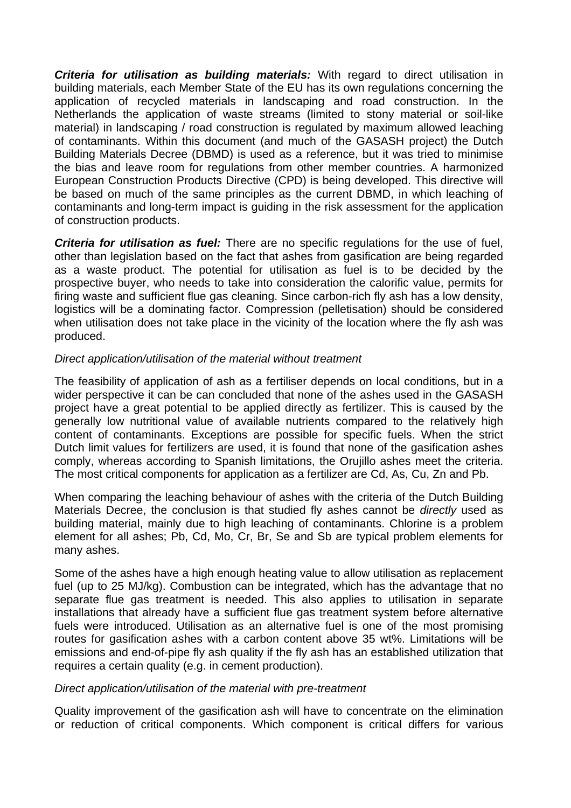*Criteria for utilisation as building materials:* With regard to direct utilisation in building materials, each Member State of the EU has its own regulations concerning the application of recycled materials in landscaping and road construction. In the Netherlands the application of waste streams (limited to stony material or soil-like material) in landscaping / road construction is regulated by maximum allowed leaching of contaminants. Within this document (and much of the GASASH project) the Dutch Building Materials Decree (DBMD) is used as a reference, but it was tried to minimise the bias and leave room for regulations from other member countries. A harmonized European Construction Products Directive (CPD) is being developed. This directive will be based on much of the same principles as the current DBMD, in which leaching of contaminants and long-term impact is guiding in the risk assessment for the application of construction products.

*Criteria for utilisation as fuel:* There are no specific regulations for the use of fuel, other than legislation based on the fact that ashes from gasification are being regarded as a waste product. The potential for utilisation as fuel is to be decided by the prospective buyer, who needs to take into consideration the calorific value, permits for firing waste and sufficient flue gas cleaning. Since carbon-rich fly ash has a low density, logistics will be a dominating factor. Compression (pelletisation) should be considered when utilisation does not take place in the vicinity of the location where the fly ash was produced.

### *Direct application/utilisation of the material without treatment*

The feasibility of application of ash as a fertiliser depends on local conditions, but in a wider perspective it can be can concluded that none of the ashes used in the GASASH project have a great potential to be applied directly as fertilizer. This is caused by the generally low nutritional value of available nutrients compared to the relatively high content of contaminants. Exceptions are possible for specific fuels. When the strict Dutch limit values for fertilizers are used, it is found that none of the gasification ashes comply, whereas according to Spanish limitations, the Orujillo ashes meet the criteria. The most critical components for application as a fertilizer are Cd, As, Cu, Zn and Pb.

When comparing the leaching behaviour of ashes with the criteria of the Dutch Building Materials Decree, the conclusion is that studied fly ashes cannot be *directly* used as building material, mainly due to high leaching of contaminants. Chlorine is a problem element for all ashes; Pb, Cd, Mo, Cr, Br, Se and Sb are typical problem elements for many ashes.

Some of the ashes have a high enough heating value to allow utilisation as replacement fuel (up to 25 MJ/kg). Combustion can be integrated, which has the advantage that no separate flue gas treatment is needed. This also applies to utilisation in separate installations that already have a sufficient flue gas treatment system before alternative fuels were introduced. Utilisation as an alternative fuel is one of the most promising routes for gasification ashes with a carbon content above 35 wt%. Limitations will be emissions and end-of-pipe fly ash quality if the fly ash has an established utilization that requires a certain quality (e.g. in cement production).

#### *Direct application/utilisation of the material with pre-treatment*

Quality improvement of the gasification ash will have to concentrate on the elimination or reduction of critical components. Which component is critical differs for various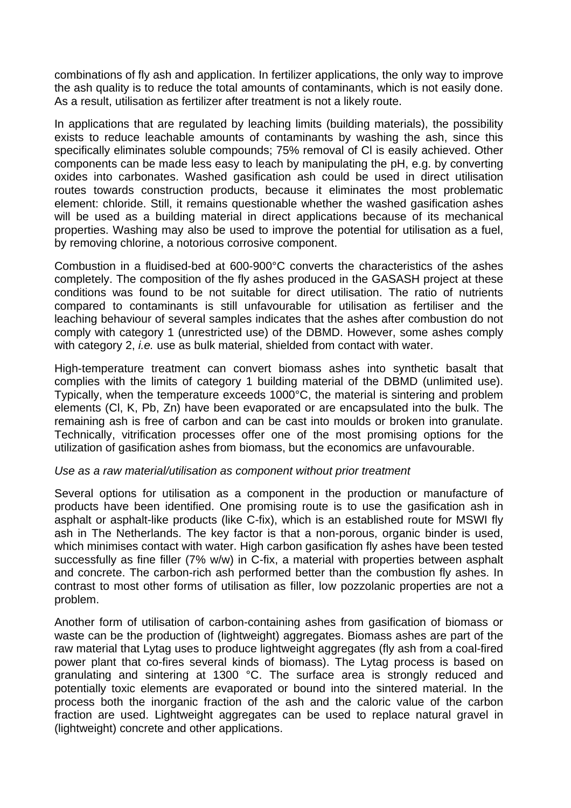combinations of fly ash and application. In fertilizer applications, the only way to improve the ash quality is to reduce the total amounts of contaminants, which is not easily done. As a result, utilisation as fertilizer after treatment is not a likely route.

In applications that are regulated by leaching limits (building materials), the possibility exists to reduce leachable amounts of contaminants by washing the ash, since this specifically eliminates soluble compounds; 75% removal of Cl is easily achieved. Other components can be made less easy to leach by manipulating the pH, e.g. by converting oxides into carbonates. Washed gasification ash could be used in direct utilisation routes towards construction products, because it eliminates the most problematic element: chloride. Still, it remains questionable whether the washed gasification ashes will be used as a building material in direct applications because of its mechanical properties. Washing may also be used to improve the potential for utilisation as a fuel, by removing chlorine, a notorious corrosive component.

Combustion in a fluidised-bed at 600-900°C converts the characteristics of the ashes completely. The composition of the fly ashes produced in the GASASH project at these conditions was found to be not suitable for direct utilisation. The ratio of nutrients compared to contaminants is still unfavourable for utilisation as fertiliser and the leaching behaviour of several samples indicates that the ashes after combustion do not comply with category 1 (unrestricted use) of the DBMD. However, some ashes comply with category 2, *i.e.* use as bulk material, shielded from contact with water.

High-temperature treatment can convert biomass ashes into synthetic basalt that complies with the limits of category 1 building material of the DBMD (unlimited use). Typically, when the temperature exceeds 1000°C, the material is sintering and problem elements (Cl, K, Pb, Zn) have been evaporated or are encapsulated into the bulk. The remaining ash is free of carbon and can be cast into moulds or broken into granulate. Technically, vitrification processes offer one of the most promising options for the utilization of gasification ashes from biomass, but the economics are unfavourable.

#### *Use as a raw material/utilisation as component without prior treatment*

Several options for utilisation as a component in the production or manufacture of products have been identified. One promising route is to use the gasification ash in asphalt or asphalt-like products (like C-fix), which is an established route for MSWI fly ash in The Netherlands. The key factor is that a non-porous, organic binder is used, which minimises contact with water. High carbon gasification fly ashes have been tested successfully as fine filler (7% w/w) in C-fix, a material with properties between asphalt and concrete. The carbon-rich ash performed better than the combustion fly ashes. In contrast to most other forms of utilisation as filler, low pozzolanic properties are not a problem.

Another form of utilisation of carbon-containing ashes from gasification of biomass or waste can be the production of (lightweight) aggregates. Biomass ashes are part of the raw material that Lytag uses to produce lightweight aggregates (fly ash from a coal-fired power plant that co-fires several kinds of biomass). The Lytag process is based on granulating and sintering at 1300 °C. The surface area is strongly reduced and potentially toxic elements are evaporated or bound into the sintered material. In the process both the inorganic fraction of the ash and the caloric value of the carbon fraction are used. Lightweight aggregates can be used to replace natural gravel in (lightweight) concrete and other applications.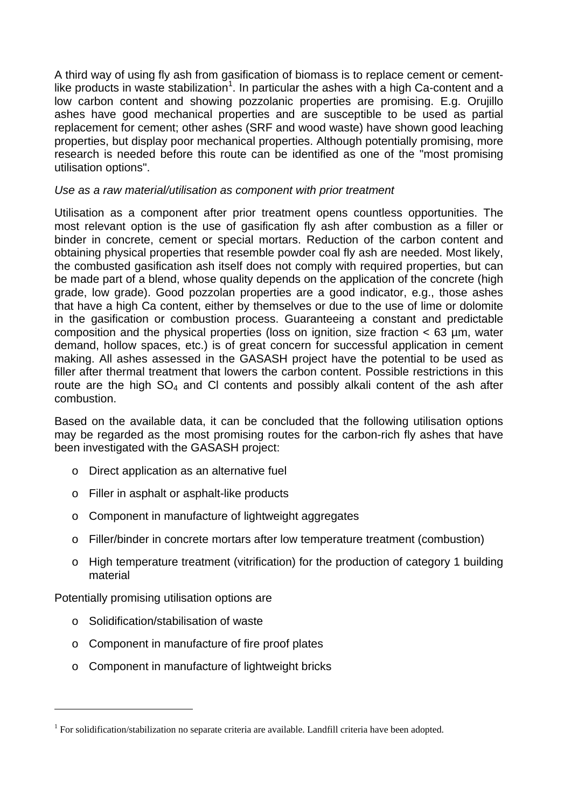A third way of using fly ash from gasification of biomass is to replace cement or cement-like products in waste stabilization<sup>1</sup>[.](#page-20-0) In particular the ashes with a high Ca-content and a low carbon content and showing pozzolanic properties are promising. E.g. Orujillo ashes have good mechanical properties and are susceptible to be used as partial replacement for cement; other ashes (SRF and wood waste) have shown good leaching properties, but display poor mechanical properties. Although potentially promising, more research is needed before this route can be identified as one of the "most promising utilisation options".

## *Use as a raw material/utilisation as component with prior treatment*

Utilisation as a component after prior treatment opens countless opportunities. The most relevant option is the use of gasification fly ash after combustion as a filler or binder in concrete, cement or special mortars. Reduction of the carbon content and obtaining physical properties that resemble powder coal fly ash are needed. Most likely, the combusted gasification ash itself does not comply with required properties, but can be made part of a blend, whose quality depends on the application of the concrete (high grade, low grade). Good pozzolan properties are a good indicator, e.g., those ashes that have a high Ca content, either by themselves or due to the use of lime or dolomite in the gasification or combustion process. Guaranteeing a constant and predictable composition and the physical properties (loss on ignition, size fraction < 63 µm, water demand, hollow spaces, etc.) is of great concern for successful application in cement making. All ashes assessed in the GASASH project have the potential to be used as filler after thermal treatment that lowers the carbon content. Possible restrictions in this route are the high  $SO_4$  and CI contents and possibly alkali content of the ash after combustion.

Based on the available data, it can be concluded that the following utilisation options may be regarded as the most promising routes for the carbon-rich fly ashes that have been investigated with the GASASH project:

- o Direct application as an alternative fuel
- o Filler in asphalt or asphalt-like products
- o Component in manufacture of lightweight aggregates
- o Filler/binder in concrete mortars after low temperature treatment (combustion)
- o High temperature treatment (vitrification) for the production of category 1 building material

Potentially promising utilisation options are

o Solidification/stabilisation of waste

l

- o Component in manufacture of fire proof plates
- o Component in manufacture of lightweight bricks

<span id="page-20-0"></span> $1$  For solidification/stabilization no separate criteria are available. Landfill criteria have been adopted.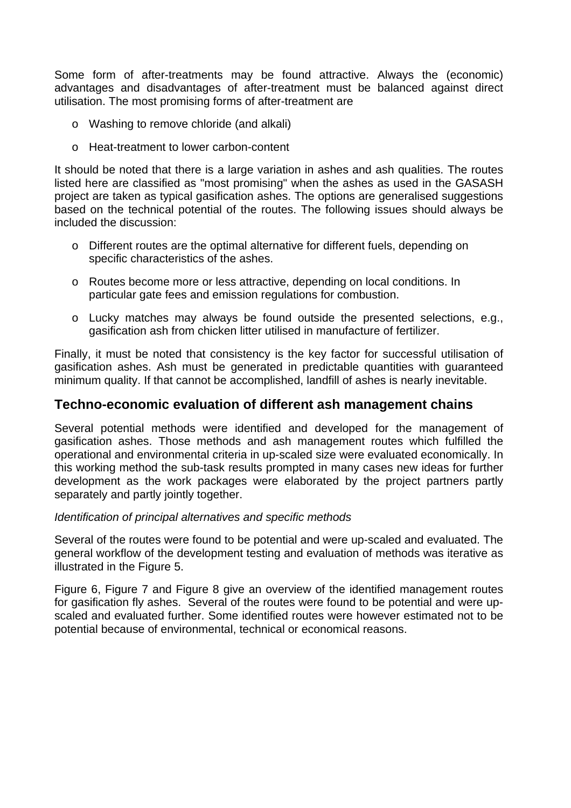Some form of after-treatments may be found attractive. Always the (economic) advantages and disadvantages of after-treatment must be balanced against direct utilisation. The most promising forms of after-treatment are

- o Washing to remove chloride (and alkali)
- o Heat-treatment to lower carbon-content

It should be noted that there is a large variation in ashes and ash qualities. The routes listed here are classified as "most promising" when the ashes as used in the GASASH project are taken as typical gasification ashes. The options are generalised suggestions based on the technical potential of the routes. The following issues should always be included the discussion:

- o Different routes are the optimal alternative for different fuels, depending on specific characteristics of the ashes.
- o Routes become more or less attractive, depending on local conditions. In particular gate fees and emission regulations for combustion.
- o Lucky matches may always be found outside the presented selections, e.g., gasification ash from chicken litter utilised in manufacture of fertilizer.

Finally, it must be noted that consistency is the key factor for successful utilisation of gasification ashes. Ash must be generated in predictable quantities with guaranteed minimum quality. If that cannot be accomplished, landfill of ashes is nearly inevitable.

## **Techno-economic evaluation of different ash management chains**

Several potential methods were identified and developed for the management of gasification ashes. Those methods and ash management routes which fulfilled the operational and environmental criteria in up-scaled size were evaluated economically. In this working method the sub-task results prompted in many cases new ideas for further development as the work packages were elaborated by the project partners partly separately and partly jointly together.

### *Identification of principal alternatives and specific methods*

Several of the routes were found to be potential and were up-scaled and evaluated. The general workflow of the development testing and evaluation of methods was iterative as illustrated in the [Figure 5.](#page-22-0)

[Figure 6,](#page-22-1) [Figure 7](#page-23-0) and [Figure 8](#page-23-1) give an overview of the identified management routes for gasification fly ashes. Several of the routes were found to be potential and were upscaled and evaluated further. Some identified routes were however estimated not to be potential because of environmental, technical or economical reasons.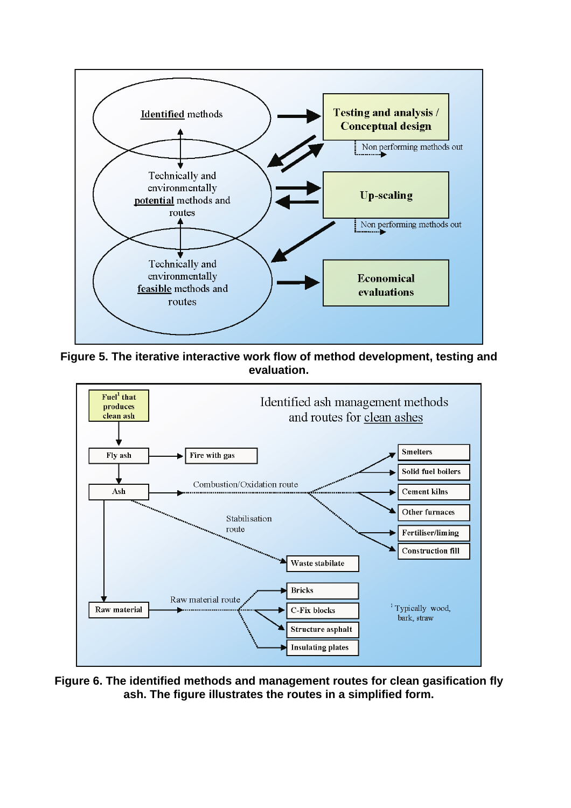<span id="page-22-0"></span>

**Figure 5. The iterative interactive work flow of method development, testing and evaluation.** 

<span id="page-22-1"></span>

**Figure 6. The identified methods and management routes for clean gasification fly ash. The figure illustrates the routes in a simplified form.**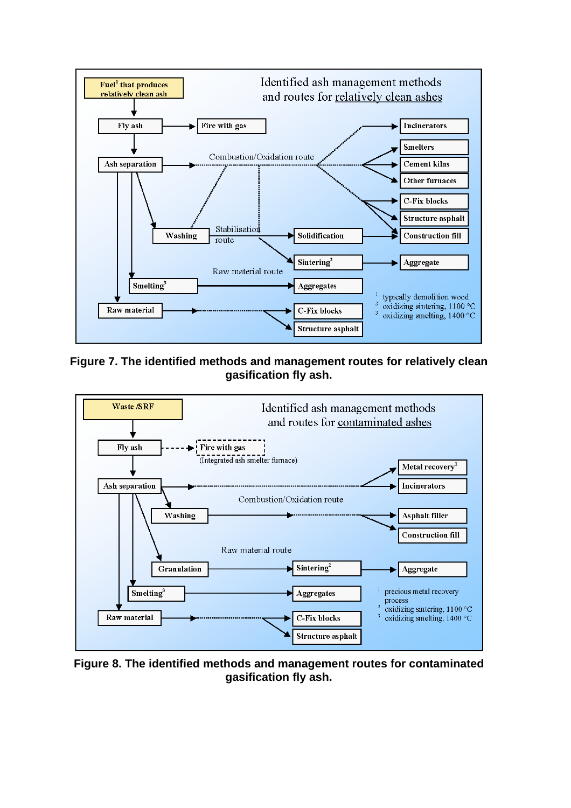<span id="page-23-0"></span>

**Figure 7. The identified methods and management routes for relatively clean gasification fly ash.** 

<span id="page-23-1"></span>

**Figure 8. The identified methods and management routes for contaminated gasification fly ash.**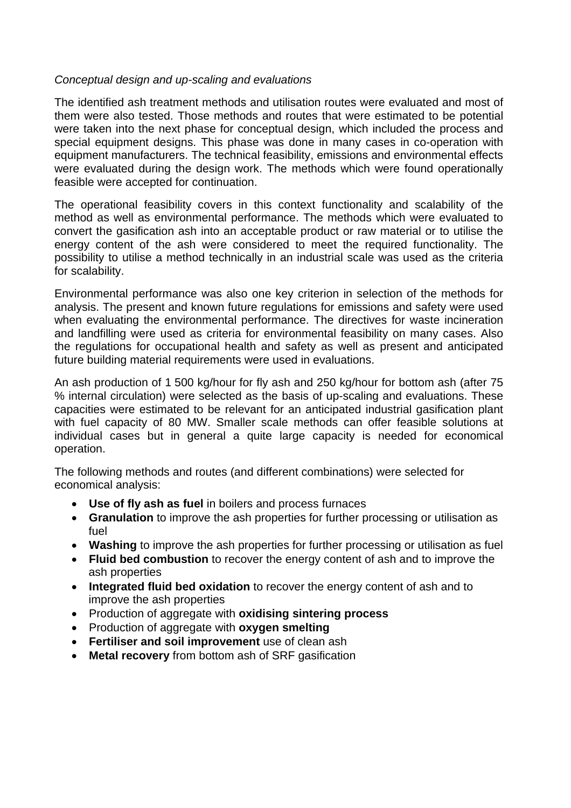#### *Conceptual design and up-scaling and evaluations*

The identified ash treatment methods and utilisation routes were evaluated and most of them were also tested. Those methods and routes that were estimated to be potential were taken into the next phase for conceptual design, which included the process and special equipment designs. This phase was done in many cases in co-operation with equipment manufacturers. The technical feasibility, emissions and environmental effects were evaluated during the design work. The methods which were found operationally feasible were accepted for continuation.

The operational feasibility covers in this context functionality and scalability of the method as well as environmental performance. The methods which were evaluated to convert the gasification ash into an acceptable product or raw material or to utilise the energy content of the ash were considered to meet the required functionality. The possibility to utilise a method technically in an industrial scale was used as the criteria for scalability.

Environmental performance was also one key criterion in selection of the methods for analysis. The present and known future regulations for emissions and safety were used when evaluating the environmental performance. The directives for waste incineration and landfilling were used as criteria for environmental feasibility on many cases. Also the regulations for occupational health and safety as well as present and anticipated future building material requirements were used in evaluations.

An ash production of 1 500 kg/hour for fly ash and 250 kg/hour for bottom ash (after 75 % internal circulation) were selected as the basis of up-scaling and evaluations. These capacities were estimated to be relevant for an anticipated industrial gasification plant with fuel capacity of 80 MW. Smaller scale methods can offer feasible solutions at individual cases but in general a quite large capacity is needed for economical operation.

The following methods and routes (and different combinations) were selected for economical analysis:

- **Use of fly ash as fuel** in boilers and process furnaces
- **Granulation** to improve the ash properties for further processing or utilisation as fuel
- **Washing** to improve the ash properties for further processing or utilisation as fuel
- **Fluid bed combustion** to recover the energy content of ash and to improve the ash properties
- **Integrated fluid bed oxidation** to recover the energy content of ash and to improve the ash properties
- Production of aggregate with **oxidising sintering process**
- Production of aggregate with **oxygen smelting**
- **Fertiliser and soil improvement** use of clean ash
- **Metal recovery** from bottom ash of SRF gasification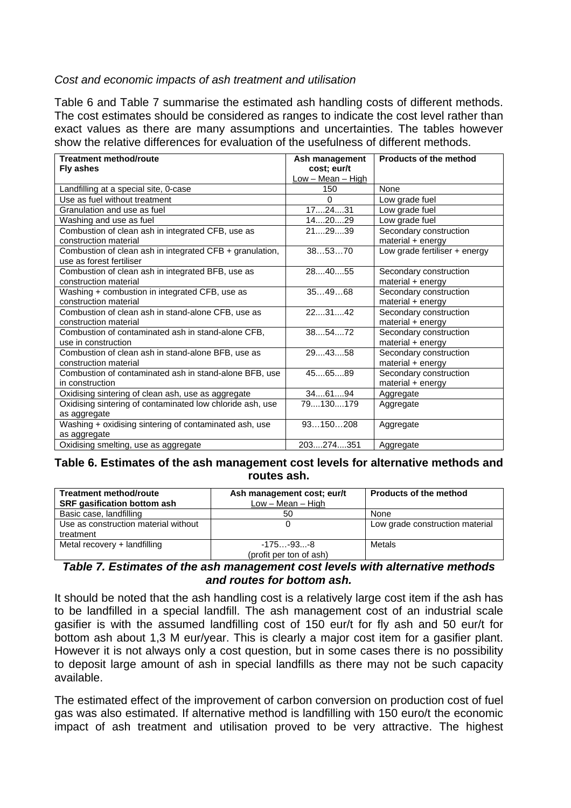### *Cost and economic impacts of ash treatment and utilisation*

[Table 6](#page-25-0) and [Table 7](#page-25-1) summarise the estimated ash handling costs of different methods. The cost estimates should be considered as ranges to indicate the cost level rather than exact values as there are many assumptions and uncertainties. The tables however show the relative differences for evaluation of the usefulness of different methods.

| <b>Treatment method/route</b>                             | Ash management    | Products of the method        |
|-----------------------------------------------------------|-------------------|-------------------------------|
| Fly ashes                                                 | cost; eur/t       |                               |
|                                                           | Low - Mean - High |                               |
| Landfilling at a special site, 0-case                     | 150               | None                          |
| Use as fuel without treatment                             | $\Omega$          | Low grade fuel                |
| Granulation and use as fuel                               | 172431            | Low grade fuel                |
| Washing and use as fuel                                   | 142029            | Low grade fuel                |
| Combustion of clean ash in integrated CFB, use as         | 212939            | Secondary construction        |
| construction material                                     |                   | material + energy             |
| Combustion of clean ash in integrated CFB + granulation,  | 385370            | Low grade fertiliser + energy |
| use as forest fertiliser                                  |                   |                               |
| Combustion of clean ash in integrated BFB, use as         | 284055            | Secondary construction        |
| construction material                                     |                   | material + energy             |
| Washing + combustion in integrated CFB, use as            | 354968            | Secondary construction        |
| construction material                                     |                   | material + energy             |
| Combustion of clean ash in stand-alone CFB, use as        | 223142            | Secondary construction        |
| construction material                                     |                   | material + energy             |
| Combustion of contaminated ash in stand-alone CFB,        | 385472            | Secondary construction        |
| use in construction                                       |                   | material + energy             |
| Combustion of clean ash in stand-alone BFB, use as        | 294358            | Secondary construction        |
| construction material                                     |                   | material + energy             |
| Combustion of contaminated ash in stand-alone BFB, use    | 456589            | Secondary construction        |
| in construction                                           |                   | material + energy             |
| Oxidising sintering of clean ash, use as aggregate        | 346194            | Aggregate                     |
| Oxidising sintering of contaminated low chloride ash, use | 79130179          | Aggregate                     |
| as aggregate                                              |                   |                               |
| Washing + oxidising sintering of contaminated ash, use    | 93150208          | Aggregate                     |
| as aggregate                                              |                   |                               |
| Oxidising smelting, use as aggregate                      | 203274351         | Aggregate                     |

#### <span id="page-25-0"></span>**Table 6. Estimates of the ash management cost levels for alternative methods and routes ash.**

| <b>Treatment method/route</b>        | Ash management cost; eur/t | <b>Products of the method</b>   |  |  |  |  |
|--------------------------------------|----------------------------|---------------------------------|--|--|--|--|
| <b>SRF gasification bottom ash</b>   | $Low - Mean - High$        |                                 |  |  |  |  |
| Basic case, landfilling              | 50                         | None                            |  |  |  |  |
| Use as construction material without |                            | Low grade construction material |  |  |  |  |
| treatment                            |                            |                                 |  |  |  |  |
| Metal recovery + landfilling         | $-175-93-8$                | Metals                          |  |  |  |  |
|                                      | (profit per ton of ash)    |                                 |  |  |  |  |

#### <span id="page-25-1"></span>*Table 7. Estimates of the ash management cost levels with alternative methods and routes for bottom ash.*

It should be noted that the ash handling cost is a relatively large cost item if the ash has to be landfilled in a special landfill. The ash management cost of an industrial scale gasifier is with the assumed landfilling cost of 150 eur/t for fly ash and 50 eur/t for bottom ash about 1,3 M eur/year. This is clearly a major cost item for a gasifier plant. However it is not always only a cost question, but in some cases there is no possibility to deposit large amount of ash in special landfills as there may not be such capacity available.

The estimated effect of the improvement of carbon conversion on production cost of fuel gas was also estimated. If alternative method is landfilling with 150 euro/t the economic impact of ash treatment and utilisation proved to be very attractive. The highest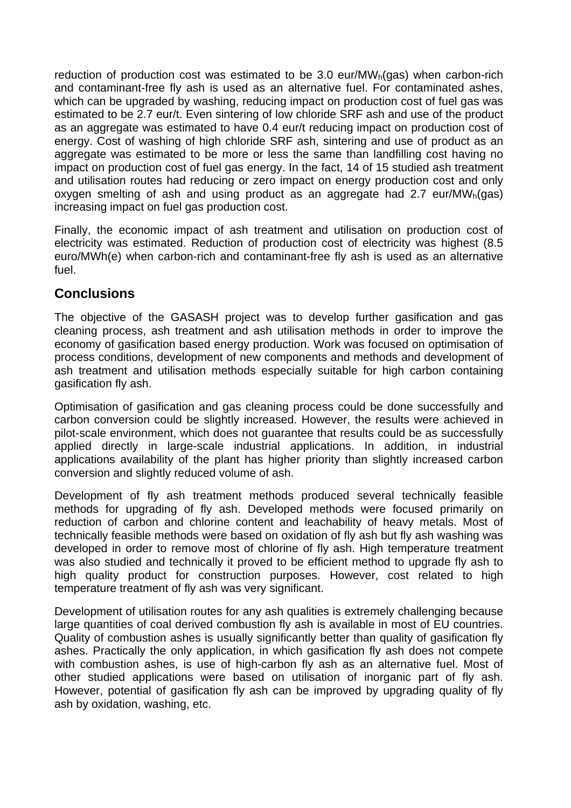reduction of production cost was estimated to be 3.0 eur/ $MW<sub>h</sub>(gas)$  when carbon-rich and contaminant-free fly ash is used as an alternative fuel. For contaminated ashes, which can be upgraded by washing, reducing impact on production cost of fuel gas was estimated to be 2.7 eur/t. Even sintering of low chloride SRF ash and use of the product as an aggregate was estimated to have 0.4 eur/t reducing impact on production cost of energy. Cost of washing of high chloride SRF ash, sintering and use of product as an aggregate was estimated to be more or less the same than landfilling cost having no impact on production cost of fuel gas energy. In the fact, 14 of 15 studied ash treatment and utilisation routes had reducing or zero impact on energy production cost and only oxygen smelting of ash and using product as an aggregate had 2.7 eur/MW<sub>h</sub>(gas) increasing impact on fuel gas production cost.

Finally, the economic impact of ash treatment and utilisation on production cost of electricity was estimated. Reduction of production cost of electricity was highest (8.5 euro/MWh(e) when carbon-rich and contaminant-free fly ash is used as an alternative fuel.

# **Conclusions**

The objective of the GASASH project was to develop further gasification and gas cleaning process, ash treatment and ash utilisation methods in order to improve the economy of gasification based energy production. Work was focused on optimisation of process conditions, development of new components and methods and development of ash treatment and utilisation methods especially suitable for high carbon containing gasification fly ash.

Optimisation of gasification and gas cleaning process could be done successfully and carbon conversion could be slightly increased. However, the results were achieved in pilot-scale environment, which does not guarantee that results could be as successfully applied directly in large-scale industrial applications. In addition, in industrial applications availability of the plant has higher priority than slightly increased carbon conversion and slightly reduced volume of ash.

Development of fly ash treatment methods produced several technically feasible methods for upgrading of fly ash. Developed methods were focused primarily on reduction of carbon and chlorine content and leachability of heavy metals. Most of technically feasible methods were based on oxidation of fly ash but fly ash washing was developed in order to remove most of chlorine of fly ash. High temperature treatment was also studied and technically it proved to be efficient method to upgrade fly ash to high quality product for construction purposes. However, cost related to high temperature treatment of fly ash was very significant.

Development of utilisation routes for any ash qualities is extremely challenging because large quantities of coal derived combustion fly ash is available in most of EU countries. Quality of combustion ashes is usually significantly better than quality of gasification fly ashes. Practically the only application, in which gasification fly ash does not compete with combustion ashes, is use of high-carbon fly ash as an alternative fuel. Most of other studied applications were based on utilisation of inorganic part of fly ash. However, potential of gasification fly ash can be improved by upgrading quality of fly ash by oxidation, washing, etc.